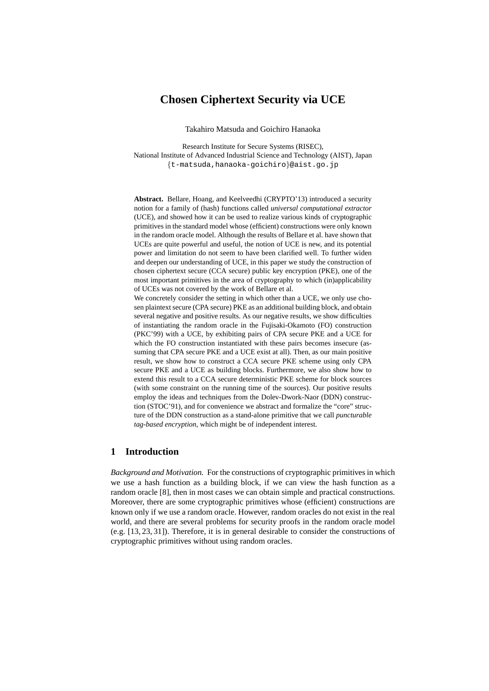# **Chosen Ciphertext Security via UCE**

Takahiro Matsuda and Goichiro Hanaoka

Research Institute for Secure Systems (RISEC), National Institute of Advanced Industrial Science and Technology (AIST), Japan *{*t-matsuda,hanaoka-goichiro*}*@aist.go.jp

**Abstract.** Bellare, Hoang, and Keelveedhi (CRYPTO'13) introduced a security notion for a family of (hash) functions called *universal computational extractor* (UCE), and showed how it can be used to realize various kinds of cryptographic primitives in the standard model whose (efficient) constructions were only known in the random oracle model. Although the results of Bellare et al. have shown that UCEs are quite powerful and useful, the notion of UCE is new, and its potential power and limitation do not seem to have been clarified well. To further widen and deepen our understanding of UCE, in this paper we study the construction of chosen ciphertext secure (CCA secure) public key encryption (PKE), one of the most important primitives in the area of cryptography to which (in)applicability of UCEs was not covered by the work of Bellare et al.

We concretely consider the setting in which other than a UCE, we only use chosen plaintext secure (CPA secure) PKE as an additional building block, and obtain several negative and positive results. As our negative results, we show difficulties of instantiating the random oracle in the Fujisaki-Okamoto (FO) construction (PKC'99) with a UCE, by exhibiting pairs of CPA secure PKE and a UCE for which the FO construction instantiated with these pairs becomes insecure (assuming that CPA secure PKE and a UCE exist at all). Then, as our main positive result, we show how to construct a CCA secure PKE scheme using only CPA secure PKE and a UCE as building blocks. Furthermore, we also show how to extend this result to a CCA secure deterministic PKE scheme for block sources (with some constraint on the running time of the sources). Our positive results employ the ideas and techniques from the Dolev-Dwork-Naor (DDN) construction (STOC'91), and for convenience we abstract and formalize the "core" structure of the DDN construction as a stand-alone primitive that we call *puncturable tag-based encryption*, which might be of independent interest.

## **1 Introduction**

*Background and Motivation.* For the constructions of cryptographic primitives in which we use a hash function as a building block, if we can view the hash function as a random oracle [8], then in most cases we can obtain simple and practical constructions. Moreover, there are some cryptographic primitives whose (efficient) constructions are known only if we use a random oracle. However, random oracles do not exist in the real world, and there are several problems for security proofs in the random oracle model (e.g. [13, 23, 31]). Therefore, it is in general desirable to consider the constructions of cryptographic primitives without using random oracles.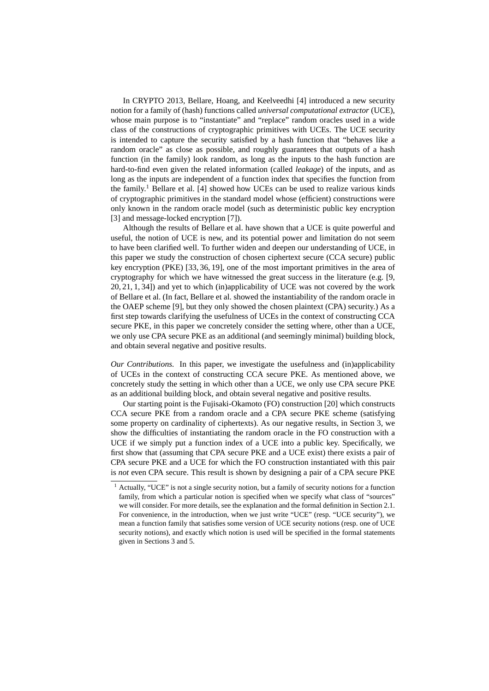In CRYPTO 2013, Bellare, Hoang, and Keelveedhi [4] introduced a new security notion for a family of (hash) functions called *universal computational extractor* (UCE), whose main purpose is to "instantiate" and "replace" random oracles used in a wide class of the constructions of cryptographic primitives with UCEs. The UCE security is intended to capture the security satisfied by a hash function that "behaves like a random oracle" as close as possible, and roughly guarantees that outputs of a hash function (in the family) look random, as long as the inputs to the hash function are hard-to-find even given the related information (called *leakage*) of the inputs, and as long as the inputs are independent of a function index that specifies the function from the family.<sup>1</sup> Bellare et al. [4] showed how UCEs can be used to realize various kinds of cryptographic primitives in the standard model whose (efficient) constructions were only known in the random oracle model (such as deterministic public key encryption [3] and message-locked encryption [7]).

Although the results of Bellare et al. have shown that a UCE is quite powerful and useful, the notion of UCE is new, and its potential power and limitation do not seem to have been clarified well. To further widen and deepen our understanding of UCE, in this paper we study the construction of chosen ciphertext secure (CCA secure) public key encryption (PKE) [33, 36, 19], one of the most important primitives in the area of cryptography for which we have witnessed the great success in the literature (e.g. [9, 20, 21, 1, 34]) and yet to which (in)applicability of UCE was not covered by the work of Bellare et al. (In fact, Bellare et al. showed the instantiability of the random oracle in the OAEP scheme [9], but they only showed the chosen plaintext (CPA) security.) As a first step towards clarifying the usefulness of UCEs in the context of constructing CCA secure PKE, in this paper we concretely consider the setting where, other than a UCE, we only use CPA secure PKE as an additional (and seemingly minimal) building block, and obtain several negative and positive results.

*Our Contributions.* In this paper, we investigate the usefulness and (in)applicability of UCEs in the context of constructing CCA secure PKE. As mentioned above, we concretely study the setting in which other than a UCE, we only use CPA secure PKE as an additional building block, and obtain several negative and positive results.

Our starting point is the Fujisaki-Okamoto (FO) construction [20] which constructs CCA secure PKE from a random oracle and a CPA secure PKE scheme (satisfying some property on cardinality of ciphertexts). As our negative results, in Section 3, we show the difficulties of instantiating the random oracle in the FO construction with a UCE if we simply put a function index of a UCE into a public key. Specifically, we first show that (assuming that CPA secure PKE and a UCE exist) there exists a pair of CPA secure PKE and a UCE for which the FO construction instantiated with this pair is *not* even CPA secure. This result is shown by designing a pair of a CPA secure PKE

 $1$  Actually, "UCE" is not a single security notion, but a family of security notions for a function family, from which a particular notion is specified when we specify what class of "sources" we will consider. For more details, see the explanation and the formal definition in Section 2.1. For convenience, in the introduction, when we just write "UCE" (resp. "UCE security"), we mean a function family that satisfies some version of UCE security notions (resp. one of UCE security notions), and exactly which notion is used will be specified in the formal statements given in Sections 3 and 5.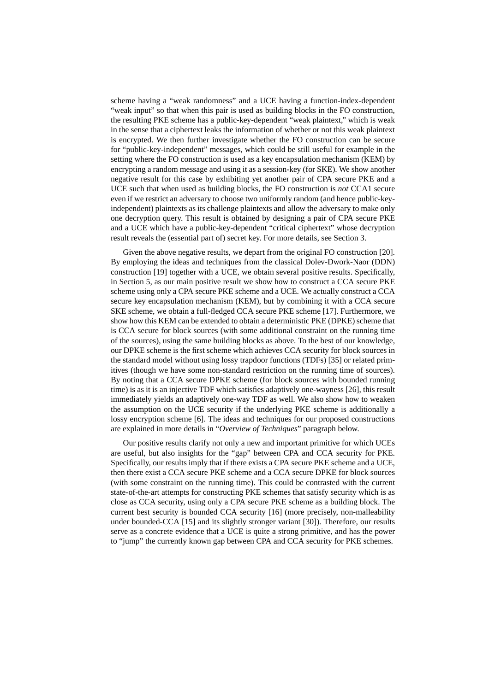scheme having a "weak randomness" and a UCE having a function-index-dependent "weak input" so that when this pair is used as building blocks in the FO construction, the resulting PKE scheme has a public-key-dependent "weak plaintext," which is weak in the sense that a ciphertext leaks the information of whether or not this weak plaintext is encrypted. We then further investigate whether the FO construction can be secure for "public-key-independent" messages, which could be still useful for example in the setting where the FO construction is used as a key encapsulation mechanism (KEM) by encrypting a random message and using it as a session-key (for SKE). We show another negative result for this case by exhibiting yet another pair of CPA secure PKE and a UCE such that when used as building blocks, the FO construction is *not* CCA1 secure even if we restrict an adversary to choose two uniformly random (and hence public-keyindependent) plaintexts as its challenge plaintexts and allow the adversary to make only one decryption query. This result is obtained by designing a pair of CPA secure PKE and a UCE which have a public-key-dependent "critical ciphertext" whose decryption result reveals the (essential part of) secret key. For more details, see Section 3.

Given the above negative results, we depart from the original FO construction [20]. By employing the ideas and techniques from the classical Dolev-Dwork-Naor (DDN) construction [19] together with a UCE, we obtain several positive results. Specifically, in Section 5, as our main positive result we show how to construct a CCA secure PKE scheme using only a CPA secure PKE scheme and a UCE. We actually construct a CCA secure key encapsulation mechanism (KEM), but by combining it with a CCA secure SKE scheme, we obtain a full-fledged CCA secure PKE scheme [17]. Furthermore, we show how this KEM can be extended to obtain a deterministic PKE (DPKE) scheme that is CCA secure for block sources (with some additional constraint on the running time of the sources), using the same building blocks as above. To the best of our knowledge, our DPKE scheme is the first scheme which achieves CCA security for block sources in the standard model without using lossy trapdoor functions (TDFs) [35] or related primitives (though we have some non-standard restriction on the running time of sources). By noting that a CCA secure DPKE scheme (for block sources with bounded running time) is as it is an injective TDF which satisfies adaptively one-wayness [26], this result immediately yields an adaptively one-way TDF as well. We also show how to weaken the assumption on the UCE security if the underlying PKE scheme is additionally a lossy encryption scheme [6]. The ideas and techniques for our proposed constructions are explained in more details in "*Overview of Techniques*" paragraph below.

Our positive results clarify not only a new and important primitive for which UCEs are useful, but also insights for the "gap" between CPA and CCA security for PKE. Specifically, our results imply that if there exists a CPA secure PKE scheme and a UCE, then there exist a CCA secure PKE scheme and a CCA secure DPKE for block sources (with some constraint on the running time). This could be contrasted with the current state-of-the-art attempts for constructing PKE schemes that satisfy security which is as close as CCA security, using only a CPA secure PKE scheme as a building block. The current best security is bounded CCA security [16] (more precisely, non-malleability under bounded-CCA [15] and its slightly stronger variant [30]). Therefore, our results serve as a concrete evidence that a UCE is quite a strong primitive, and has the power to "jump" the currently known gap between CPA and CCA security for PKE schemes.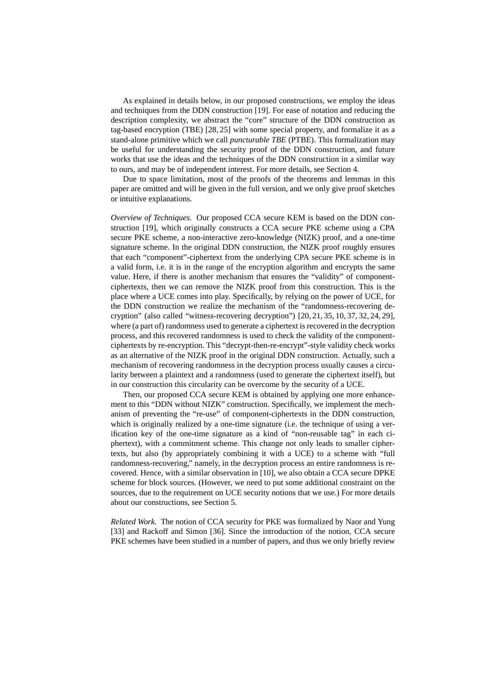As explained in details below, in our proposed constructions, we employ the ideas and techniques from the DDN construction [19]. For ease of notation and reducing the description complexity, we abstract the "core" structure of the DDN construction as tag-based encryption (TBE) [28, 25] with some special property, and formalize it as a stand-alone primitive which we call *puncturable TBE* (PTBE). This formalization may be useful for understanding the security proof of the DDN construction, and future works that use the ideas and the techniques of the DDN construction in a similar way to ours, and may be of independent interest. For more details, see Section 4.

Due to space limitation, most of the proofs of the theorems and lemmas in this paper are omitted and will be given in the full version, and we only give proof sketches or intuitive explanations.

*Overview of Techniques.* Our proposed CCA secure KEM is based on the DDN construction [19], which originally constructs a CCA secure PKE scheme using a CPA secure PKE scheme, a non-interactive zero-knowledge (NIZK) proof, and a one-time signature scheme. In the original DDN construction, the NIZK proof roughly ensures that each "component"-ciphertext from the underlying CPA secure PKE scheme is in a valid form, i.e. it is in the range of the encryption algorithm and encrypts the same value. Here, if there is another mechanism that ensures the "validity" of componentciphertexts, then we can remove the NIZK proof from this construction. This is the place where a UCE comes into play. Specifically, by relying on the power of UCE, for the DDN construction we realize the mechanism of the "randomness-recovering decryption" (also called "witness-recovering decryption") [20, 21, 35, 10, 37, 32, 24, 29], where (a part of) randomness used to generate a ciphertext is recovered in the decryption process, and this recovered randomness is used to check the validity of the componentciphertexts by re-encryption. This "decrypt-then-re-encrypt"-style validity check works as an alternative of the NIZK proof in the original DDN construction. Actually, such a mechanism of recovering randomness in the decryption process usually causes a circularity between a plaintext and a randomness (used to generate the ciphertext itself), but in our construction this circularity can be overcome by the security of a UCE.

Then, our proposed CCA secure KEM is obtained by applying one more enhancement to this "DDN without NIZK" construction. Specifically, we implement the mechanism of preventing the "re-use" of component-ciphertexts in the DDN construction, which is originally realized by a one-time signature (i.e. the technique of using a verification key of the one-time signature as a kind of "non-reusable tag" in each ciphertext), with a commitment scheme. This change not only leads to smaller ciphertexts, but also (by appropriately combining it with a UCE) to a scheme with "full randomness-recovering," namely, in the decryption process an entire randomness is recovered. Hence, with a similar observation in [10], we also obtain a CCA secure DPKE scheme for block sources. (However, we need to put some additional constraint on the sources, due to the requirement on UCE security notions that we use.) For more details about our constructions, see Section 5.

*Related Work.* The notion of CCA security for PKE was formalized by Naor and Yung [33] and Rackoff and Simon [36]. Since the introduction of the notion, CCA secure PKE schemes have been studied in a number of papers, and thus we only briefly review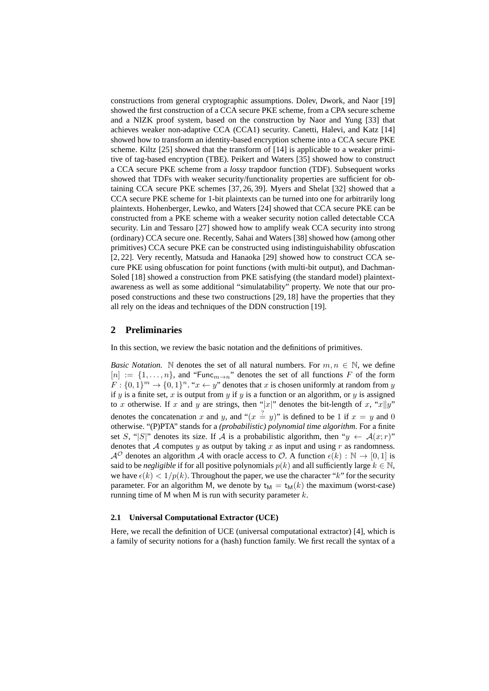constructions from general cryptographic assumptions. Dolev, Dwork, and Naor [19] showed the first construction of a CCA secure PKE scheme, from a CPA secure scheme and a NIZK proof system, based on the construction by Naor and Yung [33] that achieves weaker non-adaptive CCA (CCA1) security. Canetti, Halevi, and Katz [14] showed how to transform an identity-based encryption scheme into a CCA secure PKE scheme. Kiltz [25] showed that the transform of [14] is applicable to a weaker primitive of tag-based encryption (TBE). Peikert and Waters [35] showed how to construct a CCA secure PKE scheme from a *lossy* trapdoor function (TDF). Subsequent works showed that TDFs with weaker security/functionality properties are sufficient for obtaining CCA secure PKE schemes [37, 26, 39]. Myers and Shelat [32] showed that a CCA secure PKE scheme for 1-bit plaintexts can be turned into one for arbitrarily long plaintexts. Hohenberger, Lewko, and Waters [24] showed that CCA secure PKE can be constructed from a PKE scheme with a weaker security notion called detectable CCA security. Lin and Tessaro [27] showed how to amplify weak CCA security into strong (ordinary) CCA secure one. Recently, Sahai and Waters [38] showed how (among other primitives) CCA secure PKE can be constructed using indistinguishability obfuscation [2, 22]. Very recently, Matsuda and Hanaoka [29] showed how to construct CCA secure PKE using obfuscation for point functions (with multi-bit output), and Dachman-Soled [18] showed a construction from PKE satisfying (the standard model) plaintextawareness as well as some additional "simulatability" property. We note that our proposed constructions and these two constructions [29, 18] have the properties that they all rely on the ideas and techniques of the DDN construction [19].

## **2 Preliminaries**

In this section, we review the basic notation and the definitions of primitives.

*Basic Notation.* N denotes the set of all natural numbers. For  $m, n \in \mathbb{N}$ , we define  $[n] := \{1, \ldots, n\}$ , and "Func<sub>*m*→*n*</sub>" denotes the set of all functions *F* of the form  $F: \{0, 1\}^m \to \{0, 1\}^n$ . " $x \leftarrow y$ " denotes that *x* is chosen uniformly at random from *y* if *y* is a finite set, *x* is output from *y* if *y* is a function or an algorithm, or *y* is assigned to *x* otherwise. If *x* and *y* are strings, then " $|x|$ " denotes the bit-length of *x*, " $x||y$ " denotes the concatenation *x* and *y*, and " $(x = y)$ " is defined to be 1 if  $x = y$  and 0 otherwise. "(P)PTA" stands for a *(probabilistic) polynomial time algorithm*. For a finite set *S*, "|*S*|" denotes its size. If *A* is a probabilistic algorithm, then " $y \leftarrow A(x; r)$ " denotes that  $\mathcal A$  computes  $\gamma$  as output by taking  $x$  as input and using  $r$  as randomness.  $A^{\mathcal{O}}$  denotes an algorithm *A* with oracle access to *O*. A function  $\epsilon(k): \mathbb{N} \to [0, 1]$  is said to be *negligible* if for all positive polynomials  $p(k)$  and all sufficiently large  $k \in \mathbb{N}$ , we have  $\epsilon(k) < 1/p(k)$ . Throughout the paper, we use the character "*k*" for the security parameter. For an algorithm M, we denote by  $t_M = t_M(k)$  the maximum (worst-case) running time of M when M is run with security parameter *k*.

### **2.1 Universal Computational Extractor (UCE)**

Here, we recall the definition of UCE (universal computational extractor) [4], which is a family of security notions for a (hash) function family. We first recall the syntax of a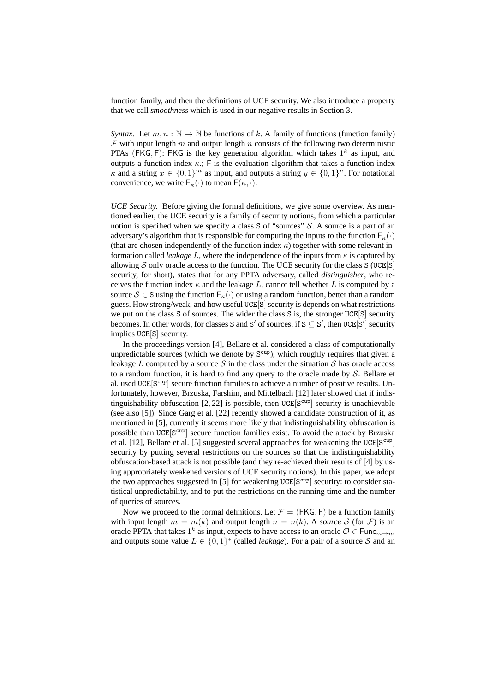function family, and then the definitions of UCE security. We also introduce a property that we call *smoothness* which is used in our negative results in Section 3.

*Syntax.* Let  $m, n : \mathbb{N} \to \mathbb{N}$  be functions of *k*. A family of functions (function family)  $F$  with input length  $m$  and output length  $n$  consists of the following two deterministic PTAs (FKG*,* F): FKG is the key generation algorithm which takes 1 *k* as input, and outputs a function index *κ*.; F is the evaluation algorithm that takes a function index *κ* and a string  $x \in \{0,1\}^m$  as input, and outputs a string  $y \in \{0,1\}^n$ . For notational convenience, we write  $F_{\kappa}(\cdot)$  to mean  $F(\kappa, \cdot)$ .

*UCE Security.* Before giving the formal definitions, we give some overview. As mentioned earlier, the UCE security is a family of security notions, from which a particular notion is specified when we specify a class S of "sources" *S*. A source is a part of an adversary's algorithm that is responsible for computing the inputs to the function F*κ*(*·*) (that are chosen independently of the function index *κ*) together with some relevant information called *leakage*  $L$ , where the independence of the inputs from  $\kappa$  is captured by allowing  $S$  only oracle access to the function. The UCE security for the class  $S$  (UCE $[S]$ security, for short), states that for any PPTA adversary, called *distinguisher*, who receives the function index  $\kappa$  and the leakage *L*, cannot tell whether *L* is computed by a source  $S \in S$  using the function  $F_k(\cdot)$  or using a random function, better than a random guess. How strong/weak, and how useful UCE[S] security is depends on what restrictions we put on the class S of sources. The wider the class S is, the stronger UCE[S] security becomes. In other words, for classes S and S *′* of sources, if S *⊆* S *′* , then UCE[S *′* ] security implies UCE[S] security.

In the proceedings version [4], Bellare et al. considered a class of computationally unpredictable sources (which we denote by  $S^{cup}$ ), which roughly requires that given a leakage *L* computed by a source *S* in the class under the situation *S* has oracle access to a random function, it is hard to find any query to the oracle made by *S*. Bellare et al. used UCE[S<sup>cup</sup>] secure function families to achieve a number of positive results. Unfortunately, however, Brzuska, Farshim, and Mittelbach [12] later showed that if indistinguishability obfuscation  $[2, 22]$  is possible, then UCE $[S^{cup}]$  security is unachievable (see also [5]). Since Garg et al. [22] recently showed a candidate construction of it, as mentioned in [5], currently it seems more likely that indistinguishability obfuscation is possible than UCE<sup>[Scup]</sup> secure function families exist. To avoid the attack by Brzuska et al. [12], Bellare et al. [5] suggested several approaches for weakening the UCE[S<sup>cup</sup>] security by putting several restrictions on the sources so that the indistinguishability obfuscation-based attack is not possible (and they re-achieved their results of [4] by using appropriately weakened versions of UCE security notions). In this paper, we adopt the two approaches suggested in [5] for weakening UCE[S<sup>cup</sup>] security: to consider statistical unpredictability, and to put the restrictions on the running time and the number of queries of sources.

Now we proceed to the formal definitions. Let  $\mathcal{F} = (FKG, F)$  be a function family with input length  $m = m(k)$  and output length  $n = n(k)$ . A *source S* (for *F*) is an oracle PPTA that takes  $1^k$  as input, expects to have access to an oracle  $\mathcal{O} \in \mathsf{Func}_{m \to n}$ , and outputs some value  $L \in \{0, 1\}^*$  (called *leakage*). For a pair of a source S and an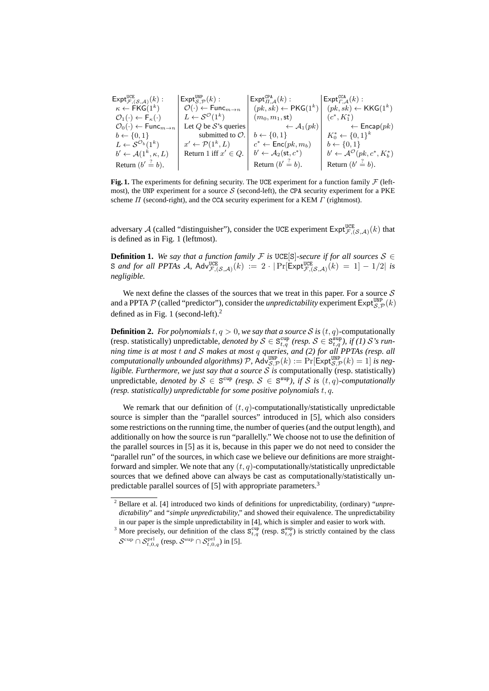| $\mathsf{Expt}_{\mathcal{F},(\mathcal{S},\mathcal{A})}^{\mathsf{UCE}}(k):$ | $\mathsf{Expt}_{\mathcal{S},\mathcal{P}}^{\text{UNP}}(k):$           | $\mathsf{Expt}_{\Pi A}^{\mathsf{CPA}}(k):$ | $\mathsf{Expt}_{\Gamma,A}^{\texttt{CCA}}(k):$                                      |
|----------------------------------------------------------------------------|----------------------------------------------------------------------|--------------------------------------------|------------------------------------------------------------------------------------|
| $\kappa \leftarrow$ FKG $(1^k)$                                            | $\mathcal{O}(\cdot) \leftarrow$ Func $_{m \rightarrow n}$            |                                            | $(pk, sk) \leftarrow \mathsf{PKG}(1^k) \mid (pk, sk) \leftarrow \mathsf{KKG}(1^k)$ |
| $\mathcal{O}_1(\cdot) \leftarrow F_{\kappa}(\cdot)$                        | $L \leftarrow \mathcal{S}^{\mathcal{O}}(1^k)$                        | $(m_0, m_1, st)$                           | $(c^*, K_1^*)$                                                                     |
| $\mathcal{O}_0(\cdot) \leftarrow$ Func $_{m \rightarrow n}$                | Let Q be S's queries                                                 | $\leftarrow \mathcal{A}_1(pk)$             | $\leftarrow$ Encap $(pk)$                                                          |
| $b \leftarrow \{0, 1\}$                                                    | submitted to $\mathcal{O}$ .                                         | $b \leftarrow \{0, 1\}$                    | $K_0^* \leftarrow \{0,1\}^k$                                                       |
| $L \leftarrow \mathcal{S}^{\mathcal{O}_b}(1^k)$                            | $x' \leftarrow \mathcal{P}(1^k, L)$                                  | $c^* \leftarrow \mathsf{Enc}(pk, m_b)$     | $b \leftarrow \{0, 1\}$                                                            |
| $b' \leftarrow \mathcal{A}(1^k, \kappa, L)$                                | Return 1 iff $x' \in Q$ . $\mid b' \leftarrow A_2(\mathsf{st}, c^*)$ |                                            | $b' \leftarrow \mathcal{A}^{\mathcal{O}}(pk, c^*, K_b^*)$                          |
| Return $(b' \stackrel{\text{?}}{=} b)$ .                                   |                                                                      | Return $(b' \stackrel{\text{T}}{=} b)$ .   | Return $(b' \stackrel{?}{=} b)$ .                                                  |

**Fig. 1.** The experiments for defining security. The UCE experiment for a function family  $\mathcal{F}$  (leftmost), the UNP experiment for a source  $S$  (second-left), the CPA security experiment for a PKE scheme *Π* (second-right), and the CCA security experiment for a KEM *Γ* (rightmost).

adversary A (called "distinguisher"), consider the UCE experiment  $\text{Expt}^{\text{UCE}}_{\mathcal{F},(\mathcal{S},\mathcal{A})}(k)$  that is defined as in Fig. 1 (leftmost).

**Definition 1.** We say that a function family  $F$  is UCE[S]-secure if for all sources  $S \in$ S and for all PPTAs A,  $\text{Adv}_{\mathcal{F},(\mathcal{S},\mathcal{A})}^{\text{UCE}}(k) := 2 \cdot |\Pr[\text{Expt}_{\mathcal{F},(\mathcal{S},\mathcal{A})}^{\text{UCE}}(k) = 1] - 1/2|$  is *negligible.*

We next define the classes of the sources that we treat in this paper. For a source *S* and a PPTA  $P$  (called "predictor"), consider the *unpredictability* experiment  $\textsf{Expt}_{\mathcal{S},\mathcal{P}}^{\textsf{UNP}}(k)$ defined as in Fig. 1 (second-left).<sup>2</sup>

**Definition 2.** For polynomials  $t, q > 0$ , we say that a source S is  $(t, q)$ -computationally  $f(\text{resp. statistically) unpredictable, denoted by  $S \in \text{S}_{t,q}^{\text{cup}}$  (resp.  $S \in \text{S}_{t,q}^{\text{sup}}$ ), if (1) *S*'s run$ *ning time is at most t and S makes at most q queries, and (2) for all PPTAs (resp. all computationally unbounded algorithms)*  $P$ ,  $Adv_{S,\mathcal{P}}^{\text{UNP}}(k) := \Pr[Exp_{S,\mathcal{P}}^{\text{UNP}}(k) = 1]$  *is negligible. Furthermore, we just say that a source S is* computationally (resp. statistically) unpredictable, *denoted by*  $S$  ∈ S<sup>cup</sup> (resp.  $S$  ∈ S<sup>sup</sup>), if S is (t, q)*-computationally (resp. statistically) unpredictable for some positive polynomials t, q.*

We remark that our definition of  $(t, q)$ -computationally/statistically unpredictable source is simpler than the "parallel sources" introduced in [5], which also considers some restrictions on the running time, the number of queries (and the output length), and additionally on how the source is run "parallelly." We choose not to use the definition of the parallel sources in [5] as it is, because in this paper we do not need to consider the "parallel run" of the sources, in which case we believe our definitions are more straightforward and simpler. We note that any  $(t, q)$ -computationally/statistically unpredictable sources that we defined above can always be cast as computationally/statistically unpredictable parallel sources of [5] with appropriate parameters.<sup>3</sup>

<sup>2</sup> Bellare et al. [4] introduced two kinds of definitions for unpredictability, (ordinary) "*unpredictability*" and "*simple unpredictability*," and showed their equivalence. The unpredictability in our paper is the simple unpredictability in [4], which is simpler and easier to work with.

<sup>&</sup>lt;sup>3</sup> More precisely, our definition of the class  $S_{t,q}^{cup}$  (resp.  $S_{t,q}^{sup}$ ) is strictly contained by the class  $\mathcal{S}^{\text{cup}} \cap \mathcal{S}^{\text{prl}}_{t,0,q}$  (resp.  $\mathcal{S}^{\text{sup}} \cap \mathcal{S}^{\text{prl}}_{t,0,q}$ ) in [5].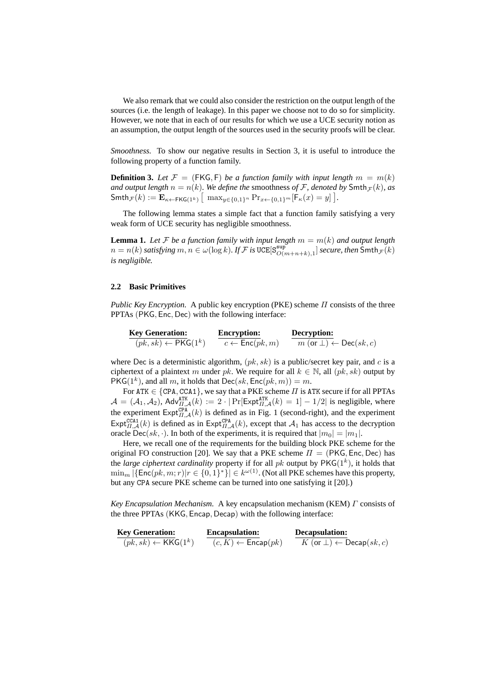We also remark that we could also consider the restriction on the output length of the sources (i.e. the length of leakage). In this paper we choose not to do so for simplicity. However, we note that in each of our results for which we use a UCE security notion as an assumption, the output length of the sources used in the security proofs will be clear.

*Smoothness.* To show our negative results in Section 3, it is useful to introduce the following property of a function family.

**Definition 3.** Let  $\mathcal{F} = (FKG, F)$  be a function family with input length  $m = m(k)$ *and output length*  $n = n(k)$ *. We define the smoothness of F, denoted by*  $\text{Smth}_{\mathcal{F}}(k)$ *, as*  ${\sf Smith}_{\mathcal{F}}(k) := \mathbf{E}_{\kappa \leftarrow {\sf FKG}(1^k)} \left[ \ \max_{y \in \{0,1\}^n} {\sf Pr}_{x \leftarrow \{0,1\}^m} [{\sf F}_{\kappa}(x) = y] \ \right].$ 

The following lemma states a simple fact that a function family satisfying a very weak form of UCE security has negligible smoothness.

**Lemma 1.** Let F be a function family with input length  $m = m(k)$  and output length  $n = n(k)$  *satisfying*  $m, n \in \omega(\log k)$ *. If F is* UCE[S $_{\text{O}(k)}^{\text{sup}}$  $\left[ \begin{smallmatrix} \text{sup} \ O(m+n+k),1 \end{smallmatrix} \right]$  *secure, then*  $\mathsf{Smth}_\mathcal{F}(k)$ *is negligible.*

#### **2.2 Basic Primitives**

*Public Key Encryption.* A public key encryption (PKE) scheme *Π* consists of the three PPTAs (PKG*,* Enc*,* Dec) with the following interface:

| <b>Key Generation:</b>                  | <b>Encryption:</b>                 | Decryption:                                       |
|-----------------------------------------|------------------------------------|---------------------------------------------------|
| $(pk, sk) \leftarrow \mathsf{PKG}(1^k)$ | $c \leftarrow \mathsf{Enc}(pk, m)$ | $m(\text{or }\perp) \leftarrow \text{Dec}(sk, c)$ |

where Dec is a deterministic algorithm,  $(pk, sk)$  is a public/secret key pair, and *c* is a ciphertext of a plaintext *m* under *pk*. We require for all  $k \in \mathbb{N}$ , all  $(pk, sk)$  output by  $PKG(1^k)$ , and all *m*, it holds that  $Dec(sk, Enc(pk, m)) = m$ .

For ATK *∈ {*CPA*,* CCA1*}*, we say that a PKE scheme *Π* is ATK secure if for all PPTAs  $\mathcal{A} = (\mathcal{A}_1, \mathcal{A}_2)$ ,  $\text{Adv}_{\Pi, \mathcal{A}}^{\text{ATK}}(k) := 2 \cdot |\Pr[\text{Expt}_{\Pi, \mathcal{A}}^{\text{ATK}}(k) = 1] - 1/2|$  is negligible, where the experiment  $\text{Expt}_{II,A}^{\text{CPA}}(k)$  is defined as in Fig. 1 (second-right), and the experiment  $\text{Expt}_{II,A}^{\text{CCA1}}(k)$  is defined as in  $\text{Expt}_{II,A}^{\text{CPA}}(k)$ , except that  $A_1$  has access to the decryption oracle  $Dec(sk, \cdot)$ . In both of the experiments, it is required that  $|m_0| = |m_1|$ .

Here, we recall one of the requirements for the building block PKE scheme for the original FO construction [20]. We say that a PKE scheme  $\Pi = (PKG, Enc, Dec)$  has the *large ciphertext cardinality* property if for all *pk* output by PKG(1*<sup>k</sup>* ), it holds that  $\min_{m} |\{\mathsf{Enc}(pk, m; r)| r \in \{0, 1\}^*\}| \in k^{\omega(1)}.$  (Not all PKE schemes have this property, but any CPA secure PKE scheme can be turned into one satisfying it [20].)

*Key Encapsulation Mechanism.* A key encapsulation mechanism (KEM) *Γ* consists of the three PPTAs (KKG*,* Encap*,* Decap) with the following interface:

| <b>Key Generation:</b>                  | <b>Encapsulation:</b>            | Decapsulation:                                      |
|-----------------------------------------|----------------------------------|-----------------------------------------------------|
| $(pk, sk) \leftarrow \mathsf{KKG}(1^k)$ | $(c, K) \leftarrow$ Encap $(pk)$ | $K(\text{or }\perp) \leftarrow \text{Decap}(sk, c)$ |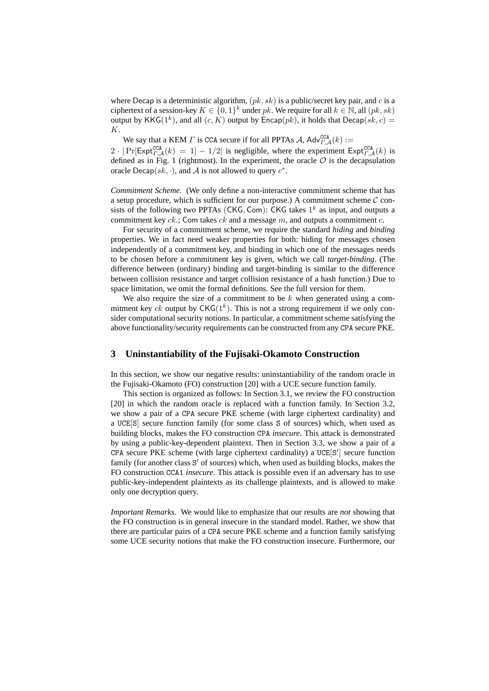where Decap is a deterministic algorithm,  $(pk, sk)$  is a public/secret key pair, and *c* is a ciphertext of a session-key  $K \in \{0,1\}^k$  under pk. We require for all  $k \in \mathbb{N}$ , all  $(pk, sk)$ output by  $\mathsf{KKG}(1^k)$ , and all  $(c, K)$  output by  $\mathsf{Encap}(pk)$ , it holds that  $\mathsf{Decap}(sk, c) =$ *K*.

We say that a KEM *Γ* is CCA secure if for all PPTAs *A*,  $Adv_{\Gamma,A}^{\text{CCA}}(k) :=$  $2 \cdot |Pr[\text{Expt}_{T,\mathcal{A}}^{\text{CCA}}(k) = 1] - 1/2|$  is negligible, where the experiment  $\text{Expt}_{T,\mathcal{A}}^{\text{CCA}}(k)$  is defined as in Fig. 1 (rightmost). In the experiment, the oracle  $O$  is the decapsulation oracle Decap $(sk, \cdot$ ), and *A* is not allowed to query  $c^*$ .

*Commitment Scheme.* (We only define a non-interactive commitment scheme that has a setup procedure, which is sufficient for our purpose.) A commitment scheme *C* consists of the following two PPTAs (CKG, Com): CKG takes  $1^k$  as input, and outputs a commitment key *ck*.; Com takes *ck* and a message *m*, and outputs a commitment *c*.

For security of a commitment scheme, we require the standard *hiding* and *binding* properties. We in fact need weaker properties for both: hiding for messages chosen independently of a commitment key, and binding in which one of the messages needs to be chosen before a commitment key is given, which we call *target-binding*. (The difference between (ordinary) binding and target-binding is similar to the difference between collision resistance and target collision resistance of a hash function.) Due to space limitation, we omit the formal definitions. See the full version for them.

We also require the size of a commitment to be *k* when generated using a commitment key  $ck$  output by  $CKG(1^k)$ . This is not a strong requirement if we only consider computational security notions. In particular, a commitment scheme satisfying the above functionality/security requirements can be constructed from any CPA secure PKE.

## **3 Uninstantiability of the Fujisaki-Okamoto Construction**

In this section, we show our negative results: uninstantiability of the random oracle in the Fujisaki-Okamoto (FO) construction [20] with a UCE secure function family.

This section is organized as follows: In Section 3.1, we review the FO construction [20] in which the random oracle is replaced with a function family. In Section 3.2, we show a pair of a CPA secure PKE scheme (with large ciphertext cardinality) and a UCE[S] secure function family (for some class S of sources) which, when used as building blocks, makes the FO construction CPA *insecure*. This attack is demonstrated by using a public-key-dependent plaintext. Then in Section 3.3, we show a pair of a CPA secure PKE scheme (with large ciphertext cardinality) a UCE[S *′* ] secure function family (for another class S *′* of sources) which, when used as building blocks, makes the FO construction CCA1 *insecure*. This attack is possible even if an adversary has to use public-key-independent plaintexts as its challenge plaintexts, and is allowed to make only one decryption query.

*Important Remarks.* We would like to emphasize that our results are *not* showing that the FO construction is in general insecure in the standard model. Rather, we show that there are particular pairs of a CPA secure PKE scheme and a function family satisfying some UCE security notions that make the FO construction insecure. Furthermore, our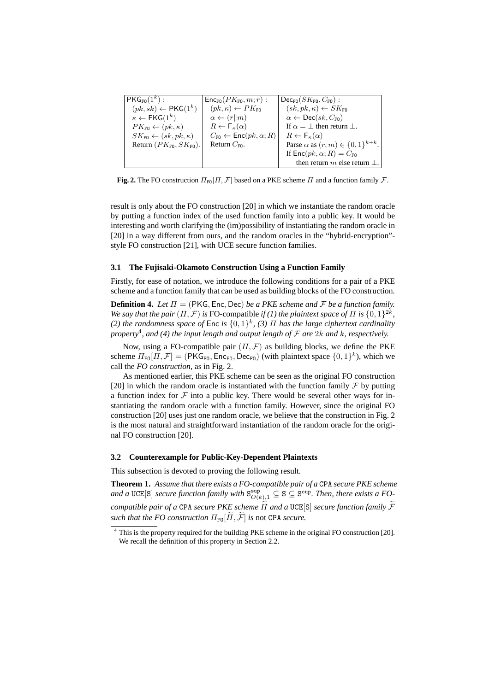| $PKG_{F0}(1^k)$ :                              | $\mathsf{Enc}_{F0}(PK_{F0}, m; r)$ :                     | $Dec_{F0}(SK_{F0}, C_{F0}):$                          |
|------------------------------------------------|----------------------------------------------------------|-------------------------------------------------------|
| $(pk, sk) \leftarrow \mathsf{PKG}(1^k)$        | $(pk, \kappa) \leftarrow PK_{\text{F0}}$                 | $(sk, pk, \kappa) \leftarrow SK_{\text{FO}}$          |
| $\kappa \leftarrow$ FKG $(1^k)$                | $\alpha \leftarrow (r  m)$                               | $\alpha \leftarrow \mathsf{Dec}(sk, C_{\mathsf{F0}})$ |
| $PK_{\text{F0}} \leftarrow (pk, \kappa)$       | $R \leftarrow F_{\kappa}(\alpha)$                        | If $\alpha = \perp$ then return $\perp$ .             |
| $SK_{\texttt{F0}} \leftarrow (sk, pk, \kappa)$ | $C_{\texttt{F0}} \leftarrow \texttt{Enc}(pk, \alpha; R)$ | $R \leftarrow F_{\kappa}(\alpha)$                     |
| Return $(PK_{F0}, SK_{F0})$ .                  | Return $C_{\text{Fn}}$ .                                 | Parse $\alpha$ as $(r, m) \in \{0, 1\}^{k+k}$ .       |
|                                                |                                                          | If $\mathsf{Enc}(pk, \alpha; R) = C_{\mathsf{F0}}$    |
|                                                |                                                          | then return m else return $\perp$ .                   |
|                                                |                                                          |                                                       |

**Fig. 2.** The FO construction  $\Pi_{F0}[H, \mathcal{F}]$  based on a PKE scheme  $\Pi$  and a function family  $\mathcal{F}$ .

result is only about the FO construction [20] in which we instantiate the random oracle by putting a function index of the used function family into a public key. It would be interesting and worth clarifying the (im)possibility of instantiating the random oracle in [20] in a way different from ours, and the random oracles in the "hybrid-encryption"style FO construction [21], with UCE secure function families.

#### **3.1 The Fujisaki-Okamoto Construction Using a Function Family**

Firstly, for ease of notation, we introduce the following conditions for a pair of a PKE scheme and a function family that can be used as building blocks of the FO construction.

**Definition 4.** *Let*  $\Pi = (\text{PKG}, \text{Enc}, \text{Dec})$  *be a PKE scheme and*  $\mathcal F$  *be a function family. We say that the pair*  $(\Pi, \mathcal{F})$  *is* FO-compatible *if* (1) *the plaintext space of*  $\Pi$  *is*  $\{0, 1\}^{2k}$ , *(2) the randomness space of* Enc *is*  $\{0,1\}^k$ , *(3) Π has the large ciphertext cardinality property*<sup>4</sup> *, and (4) the input length and output length of F are* 2*k and k, respectively.*

Now, using a FO-compatible pair  $(\Pi, \mathcal{F})$  as building blocks, we define the PKE scheme  $\Pi_{F0}[H,\mathcal{F}] = (PKG_{F0}, \text{Enc}_{F0}, \text{Dec}_{F0})$  (with plaintext space  $\{0,1\}^k$ ), which we call the *FO construction*, as in Fig. 2.

As mentioned earlier, this PKE scheme can be seen as the original FO construction [20] in which the random oracle is instantiated with the function family  $\mathcal F$  by putting a function index for  $\mathcal F$  into a public key. There would be several other ways for instantiating the random oracle with a function family. However, since the original FO construction [20] uses just one random oracle, we believe that the construction in Fig. 2 is the most natural and straightforward instantiation of the random oracle for the original FO construction [20].

#### **3.2 Counterexample for Public-Key-Dependent Plaintexts**

This subsection is devoted to proving the following result.

**Theorem 1.** *Assume that there exists a FO-compatible pair of a* CPA *secure PKE scheme* and a UCE<sup>[S]</sup> *secure function family with*  $S_{O(k),1}^{\text{sup}} \subseteq S \subseteq S^{\text{cup}}$ *. Then, there exists a FOcompatible pair of a* CPA *secure PKE scheme and a* UCE[S] *secure function family with*  $S_{O(k),1}^{\text{sup}} \subseteq S \subseteq S^{\text{sup}}$ *. Then, there exists a FO*-*compatible pair of a* UCE[S] *secure function family with*  $S_{O(k),1}^{\text{sup}} \subseteq$ **Theorem 1.** Assume that there exists a FO-compatible pair and a UCE[S] secure function family with  $S_{O(k),1}^{\text{sup}} \subseteq S \subseteq S^{\text{cm}}$ <br>*compatible pair of a* CPA secure *PKE scheme*  $\widetilde{\Pi}$  and a UCE[*i*such that the FO constr

<sup>&</sup>lt;sup>4</sup> This is the property required for the building PKE scheme in the original FO construction [20]. We recall the definition of this property in Section 2.2.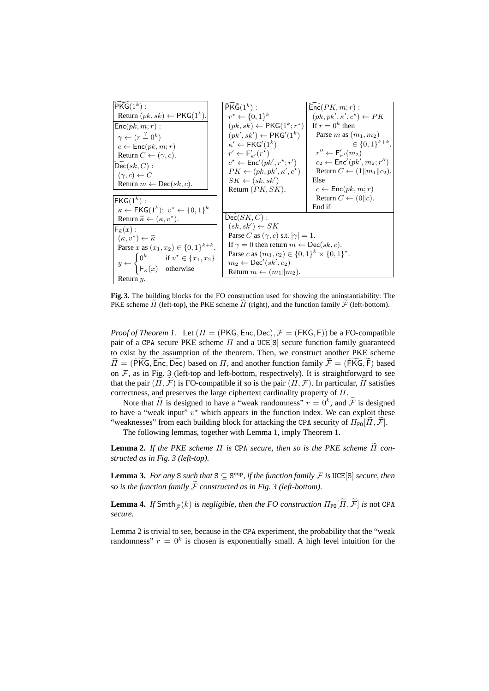| $PKG(1^k)$ :                                                                                                                | $PK\widetilde{G}(1^k)$ :                                                             | $Enc(PK, m; r)$ :                                                                   |
|-----------------------------------------------------------------------------------------------------------------------------|--------------------------------------------------------------------------------------|-------------------------------------------------------------------------------------|
| Return $(pk, sk) \leftarrow \text{PKG}(1^k)$ .                                                                              | $r^* \leftarrow \{0,1\}^k$                                                           | $(pk, pk', \kappa', c^*) \leftarrow PK$                                             |
| $\mathsf{Enc}(pk, m; r)$ :                                                                                                  | $(pk, sk) \leftarrow \mathsf{PKG}(1^k; r^*)$ If $r = 0^k$ then                       |                                                                                     |
| $\gamma \leftarrow (r \stackrel{?}{=} 0^k)$                                                                                 | $(pk', sk') \leftarrow \mathsf{PKG}'(1^k)$                                           | Parse m as $(m_1, m_2)$                                                             |
| $c \leftarrow \mathsf{Enc}(pk, m; r)$                                                                                       | $\kappa' \leftarrow$ FKG' $(1^k)$                                                    | $\in \{0,1\}^{k+k}$ .                                                               |
| Return $C \leftarrow (\gamma, c)$ .                                                                                         | $r' \leftarrow F'_{\nu'}(r^{\star})$<br>$c^* \leftarrow \mathsf{Enc}'(pk', r^*; r')$ | $r'' \leftarrow F'_{\kappa'}(m_2)$<br>$c_2 \leftarrow \mathsf{Enc}'(pk', m_2; r'')$ |
| $Dec(sk, C)$ :                                                                                                              | $PK \leftarrow (pk, pk', \kappa', c^*)$                                              | Return $C \leftarrow (1  m_1  c_2)$ .                                               |
| $(\gamma, c) \leftarrow C$<br>Return $m \leftarrow \text{Dec}(sk, c)$ .                                                     | $SK \leftarrow (sk, sk')$                                                            | Else                                                                                |
|                                                                                                                             | Return $(PK, SK)$ .                                                                  | $c \leftarrow \mathsf{Enc}(pk, m; r)$                                               |
| $FKG(1^k):$                                                                                                                 |                                                                                      | Return $C \leftarrow (0  c)$ .                                                      |
| $\kappa \leftarrow$ FKG(1 <sup>k</sup> ); $v^* \leftarrow \{0,1\}^k$                                                        | $\overline{\mathsf{Dec}}(SK, C)$ :                                                   | End if                                                                              |
| Return $\widetilde{\kappa} \leftarrow (\kappa, v^*)$ .                                                                      | $(sk, sk') \leftarrow SK$                                                            |                                                                                     |
| $\widetilde{\mathsf{F}}_{\widetilde{\kappa}}(x):$<br>$(\kappa, v^*) \leftarrow \widetilde{\kappa}$                          | Parse C as $(\gamma, c)$ s.t. $ \gamma  = 1$ .                                       |                                                                                     |
| Parse x as $(x_1, x_2) \in \{0, 1\}^{k+k}$ .                                                                                | If $\gamma = 0$ then return $m \leftarrow \text{Dec}(sk, c)$ .                       |                                                                                     |
|                                                                                                                             | Parse c as $(m_1, c_2) \in \{0, 1\}^k \times \{0, 1\}^*$ .                           |                                                                                     |
| $y \leftarrow \begin{cases} 0^k & \text{if } v^* \in \{x_1, x_2\} \\ \mathsf{F}_{\kappa}(x) & \text{otherwise} \end{cases}$ | $m_2 \leftarrow \mathsf{Dec}'(sk', c_2)$                                             |                                                                                     |
| Return $y$ .                                                                                                                | Return $m \leftarrow (m_1    m_2)$ .                                                 |                                                                                     |

**Fig. 3.** The building blocks for the FO construction used for showing the uninstantiability: The **PHE SCHEME SCHEME SCHEME SCHEME SCHEME SCHEME (RETAILMARY).**<br> **Fig. 3.** The building blocks for the FO construction used for showing the uninstantiability: The PKE scheme  $\hat{\Pi}$  (left-top), the PKE scheme  $\hat{\Pi}$  (right

*Proof of Theorem 1.* Let ( $\Pi = (PKG, Enc, Dec)$ ,  $\mathcal{F} = (FKG, F)$ ) be a FO-compatible pair of a CPA secure PKE scheme *Π* and a UCE[S] secure function family guaranteed to exist by the assumption of the theorem. Then, we construct another PKE scheme  $\widetilde{\Pi} = (\widetilde{\text{PKG}}, \widetilde{\text{Enc}}, \widetilde{\text{Dec}})$  based on  $\Pi$ , and another function family  $\widetilde{\mathcal{F}} = (\widetilde{\text{FKG}}, \widetilde{\text{F}})$  based on  $F$ , as in Fig. 3 (left-top and left-bottom, respectively). It is straightforward to see pair of a CPA secure PKE scheme *II* and a UCE[S] secure function family guaranteed<br>to exist by the assumption of the theorem. Then, we construct another PKE scheme<br> $\widetilde{\Pi} = (\widetilde{\text{PKG}}, \widetilde{\text{Enc}}, \widetilde{\text{Dec}})$  based on  $\Pi$ , a correctness, and preserves the large ciphertext cardinality property of *Π*. = (PKG, Enc, Dec) based on *II*, and another function family  $\mathcal{F} = (FKG, F)$  based  $\mathcal{F}$ , as in Fig. 3 (left-top and left-bottom, respectively). It is straightforward to see the pair  $(\overline{II}, \widetilde{\mathcal{F}})$  is FO-compatibl

to have a "weak input"  $v^*$  which appears in the function index. We can exploit these that the pair  $(\tilde{\Pi}, \tilde{\mathcal{F}})$  is FO-compatible if so is the pair  $(\Pi, \mathcal{F})$ . In particular,  $\tilde{\Pi}$  satisfies correctness, and preserves the large ciphertext cardinality property of *Π*.<br>Note that  $\tilde{\Pi}$  is designe

The following lemmas, together with Lemma 1, imply Theorem 1.

**Lemma 2.** *If the PKE scheme*  $\Pi$  *is CPA secure, then so is the PKE scheme*  $\widetilde{\Pi}$  *constructed as in Fig. 3 (left-top).*

**Lemma 3.** For any S such that  $S \subseteq S^{cup}$ , if the function family  $F$  is UCE[S] secure, then **Lemma 2.** *If the PKE scheme*  $\Pi$  *is CPA secure, then so is the structed as in Fig. 3 (left-top).*<br>**Lemma 3.** *For any S such that*  $S \subseteq S^{cup}$ *, if the function family*  $\mathcal F$  *so is the function family*  $\widetilde{\mathcal F}$  *co* 

*so is the function family*  $\widetilde{\mathcal{F}}$  *constructed as in Fig. 3 (left-bottom).*<br>**Lemma 4.** *If* Smth<sub> $\widetilde{\mathcal{F}}(k)$  *is negligible, then the FO construction*  $\Pi_{F0}[\widetilde{\Pi}, \widetilde{\mathcal{F}}]$  *is* not CPA</sub> *secure.*

Lemma 2 is trivial to see, because in the CPA experiment, the probability that the "weak randomness"  $r = 0<sup>k</sup>$  is chosen is exponentially small. A high level intuition for the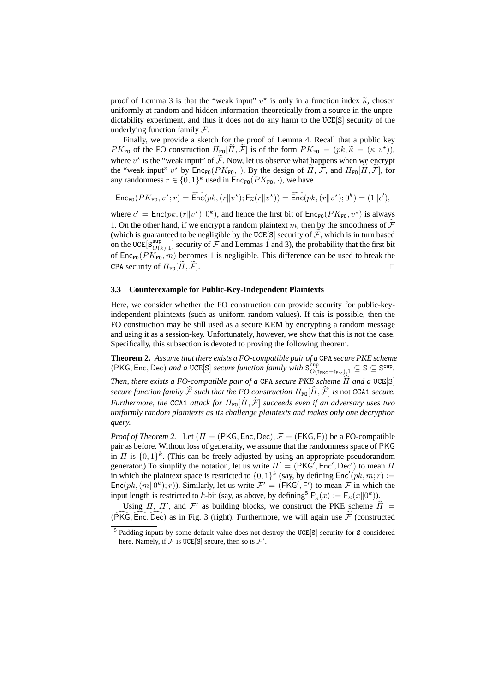proof of Lemma 3 is that the "weak input"  $v^*$  is only in a function index  $\tilde{\kappa}$ , chosen uniformly at random and hidden information-theoretically from a source in the unpredictability experiment, and thus it does not do any harm to the UCE[S] security of the underlying function family *F*. uniformly at random and hidden information-theoretically from a source in the unpre-<br>dictability experiment, and thus it does not do any harm to the UCE[S] security of the<br>underlying function family  $\mathcal{F}$ .<br>Finally, we

Finally, we provide a sketch for the proof of Lemma 4. Recall that a public key dictability experiment, and thus it does not do any harm to the UCE[S] security of the<br>
underlying function family  $\mathcal{F}$ .<br>
Finally, we provide a sketch for the proof of Lemma 4. Recall that a public key<br>  $PK_{F0}$  of the the "weak input" *v v*ide a sketch for the proof of Lemma 4. Recall that a public key onstruction  $\Pi_{\text{F0}}[\tilde{\Pi}, \tilde{\mathcal{F}}]$  is of the form  $PK_{\text{F0}} = (pk, \tilde{\kappa} = (\kappa, v^*)),$  ak input" of  $\tilde{\mathcal{F}}$ . Now, let us observe what happens when we e any randomness  $r \in \{0, 1\}^k$  used in  $\mathsf{Enc}_{F0}(PK_{F0}, \cdot)$ , we have *r*)  $r^*$  by Enc<sub>F0</sub>( $PK_{F0}$ <br>  $\in \{0, 1\}^k$  used in E<br>  $\in r$ ) = Enc( $pk$ ,  $(r||v)$ Shead is that happen<br>
design of  $\widetilde{H}$ ,  $\widetilde{F}$ , a<br>
(*r*), we have<br>
(*r*) =  $\widetilde{\text{Enc}}(pk, (r||v))$ 

$$
\mathsf{Enc}_{\mathsf{FO}}(PK_{\mathsf{FO}}, v^\star; r) = \widetilde{\mathsf{Enc}}(pk, (r \| v^\star); \mathsf{F}_{\widetilde{\kappa}}(r \| v^\star)) = \widetilde{\mathsf{Enc}}(pk, (r \| v^\star); 0^k) = (1 \| c'),
$$

where  $c' = \text{Enc}(pk, (r||v^*); 0^k)$ , and hence the first bit of  $\text{Enc}_{F0}(PK_{F0}, v^*)$  is always  $Enc_{F0}(PK_{F0}, v^*; r) = \overline{Enc}(pk, (r||v^*); F_{\tilde{\kappa}}(r||v^*)) = \overline{Enc}(pk, (r||v^*); 0^k) = (1||c'),$ <br>where  $c' = Enc(pk, (r||v^*); 0^k)$ , and hence the first bit of  $Enc_{F0}(PK_{F0}, v^*)$  is always 1. On the other hand, if we encrypt a random plaintext *m*, the  $Enc_{F0}(PK_{F0}, v^*; r) = Enc(pk, (r||v^*); F_{\tilde{\kappa}}(r||v^*)) = Enc(pk, (r||v^*); 0^k) = (1||c'),$ <br>where  $c' = Enc(pk, (r||v^*); 0^k)$ , and hence the first bit of  $Enc_{F0}(PK_{F0}, v^*)$  is always<br>1. On the other hand, if we encrypt a random plaintext m, then by the smo on the UCE  $[S_{O(i)}^{sup}$  $O(k)$ <sub>,1</sub> security of *F* and Lemmas 1 and 3), the probability that the first bit of  $\textsf{Enc}_{\texttt{FO}}(PK_{\texttt{FO}}, m)$  becomes 1 is negligible. This difference can be used to break the The other hand, if we encrypt a random plaintext *m*, then by the smoothness of  $\mathcal{F}$ .<br>(which is guaranteed to be negligible by the UCE[S] security of  $\tilde{\mathcal{F}}$ , which is in turn based<br>on the UCE[ $S_{O(k),1}^{sup}$ ] securi

#### **3.3 Counterexample for Public-Key-Independent Plaintexts**

Here, we consider whether the FO construction can provide security for public-keyindependent plaintexts (such as uniform random values). If this is possible, then the FO construction may be still used as a secure KEM by encrypting a random message and using it as a session-key. Unfortunately, however, we show that this is not the case. Specifically, this subsection is devoted to proving the following theorem.

**Theorem 2.** *Assume that there exists a FO-compatible pair of a* CPA *secure PKE scheme*  $(PKG, Enc, Dec)$  *and a* UCE[S] *secure function family with*  $S_{O(t_{PKG}+t_{Enc}),1}^{cup} \subseteq S \subseteq S^{cupP}$ *. Specifically, this subsection is devoted to proving the following theorem.*<br>**Theorem 2.** *Assume that there exists a FO-compatible pair of a* CPA *secure PKE scheme* (PKG, Enc, Dec) *and a* UCE[S] *secure function family* **Theorem 2.** Assume that there exists a FO-compatible pair of a CPA secure PKE scheme (PKG, Enc, Dec) and a UCE[S] secure function family with  $S_{O(t_{PKG}+t_{Enc}),1}^{cup} \subseteq S \subseteq S_{Cup}$ .<br>*Then, there exists a FO-compatible pair of a*  $(FKG, Enc, Dec)$  *and a* UCE[S] *secure function family with*  $S_{O(t_{PKG}+t_{Enc}),1}^{cup} \subseteq S \subseteq S^{cup}$ *.<br>Then, there exists a FO-compatible pair of a CPA secure PKE scheme*  $\hat{\Pi}$  *<i>and a* UCE[S] *secure function family*  $\hat{\mathcal{F}}$  *such th uniformly random plaintexts as its challenge plaintexts and makes only one decryption query.*

*Proof of Theorem 2.* Let ( $\Pi = (PKG, Enc, Dec), \mathcal{F} = (FKG, F)$ ) be a FO-compatible pair as before. Without loss of generality, we assume that the randomness space of PKG in *Π* is *{*0*,* 1*} k* . (This can be freely adjusted by using an appropriate pseudorandom generator.) To simplify the notation, let us write *Π′* = (PKG*′ ,* Enc*′ ,* Dec*′* ) to mean *Π* in which the plaintext space is restricted to  $\{0,1\}^k$  (say, by defining  $\textsf{Enc}'(pk, m; r) :=$  $Enc(pk, (m||0^k); r)$ ). Similarly, let us write  $\mathcal{F}' = (FKG', F')$  to mean  $\mathcal{F}$  in which the input length is restricted to *k*-bit (say, as above, by defining<sup>5</sup>  $F'_{\kappa}(x) := F_{\kappa}(x||0^k)$ ). erator.) To simplify the notation, let us write  $H' = (PKG', Enc', Dec')$  to mean  $H$ <br>
which the plaintext space is restricted to  $\{0,1\}^k$  (say, by defining  $Enc'(pk, m; r) := (pk, (m||0^k); r)$ ). Similarly, let us write  $\mathcal{F}' = (FKG', F')$  to mean in which the plaintext space is restricted to  $\{0, 1\}^n$  (say, by defining Enc  $(pk, m; r) :=$ <br>Enc $(pk, (m||0^k); r)$ ). Similarly, let us write  $\mathcal{F}' = (FKG', F')$  to mean  $\mathcal{F}$  in which the<br>input length is restricted to k-bit (say

<sup>5</sup> Padding inputs by some default value does not destroy the UCE[S] security for S considered here. Namely, if  $\mathcal F$  is UCE[S] secure, then so is  $\mathcal F'$ .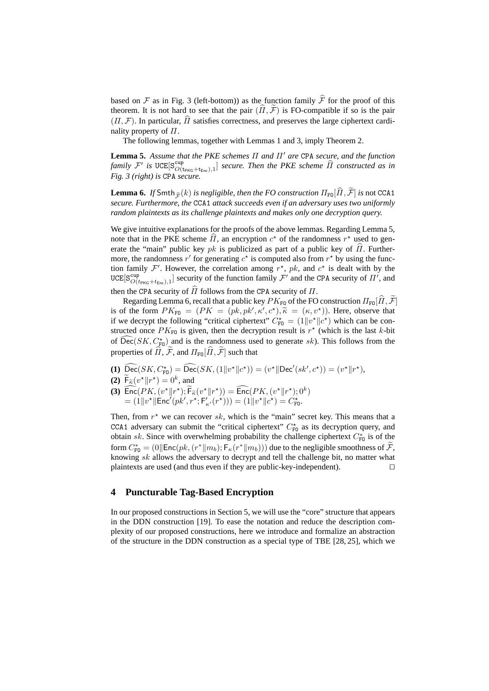based on *F* as in Fig. 3 (left-bottom)) as the function family  $\hat{\mathcal{F}}$  for the proof of this theorem. It is not hard to see that the pair  $(\hat{\Pi}, \tilde{\mathcal{F}})$  is FO-compatible if so is the pair theorem. It is not hard to see that the pair  $(\hat{\Pi}, \tilde{\mathcal{F}})$  is FO-compatible if so is the pair based on *F* as in Fig. 3 (left-bottom)) as the function family  $\hat{F}$  for the proof of this theorem. It is not hard to see that the pair  $(\hat{\Pi}, \tilde{\mathcal{F}})$  is FO-compatible if so is the pair  $(\Pi, \mathcal{F})$ . In particular, nality property of *Π*.

The following lemmas, together with Lemmas 1 and 3, imply Theorem 2.

**Lemma 5.** *Assume that the PKE schemes Π and Π′ are* CPA *secure, and the function family*  $\mathcal{F}'$  *is* UCE[ $S_{O(t)}^{cup}$ *O*(*t<sub>PKG</sub>*+t<sub>Enc</sub>)<sub>*,*1</sub>] *secure. Then the PKE schemes <i>Π construction component construction component constructed as in o*(*t<sub>PKG</sub>*+t<sub>Enc</sub>)<sub>*,*</sub><sub>1</sub>] *secure. Then the PKE scheme*  $\hat{H}$  *constructed as in Fig. 3 (right) is* CPA *secure.* **Lemma 5.** Assume that the PKE schemes  $\Pi$  and  $\Pi'$  are CPA secure, and the function family  $\mathcal{F}'$  is  $\text{UCE}[\mathbb{S}_{O(\text{t}_{\text{PKG}}+\text{t}_{\text{Enc}}),1}]$  secure. Then the PKE scheme  $\widehat{\Pi}$  constructed as in Fig. 3 (right) is CP

*secure. Furthermore, the* CCA1 *attack succeeds even if an adversary uses two uniformly random plaintexts as its challenge plaintexts and makes only one decryption query.* secure. Furthermore, the CCA1 attack succeeds ever<br>andom plaintexts as its challenge plaintexts and *We* give intuitive explanations for the proofs of the note that in the PKE scheme  $\hat{\Pi}$ , an encryption *c* 

We give intuitive explanations for the proofs of the above lemmas. Regarding Lemma 5,  $\star$  of the randomness  $r^*$  used to genrandom plaintexts as its challenge plaintexts and makes only one decryption query.<br>We give intuitive explanations for the proofs of the above lemmas. Regarding Lemma 5,<br>note that in the PKE scheme  $\hat{\Pi}$ , an encryption more, the randomness  $r'$  for generating  $c^*$  is computed also from  $r^*$  by using the function family  $\mathcal{F}'$ . However, the correlation among  $r^*$ ,  $pk$ , and  $c^*$  is dealt with by the  $\text{UCE}[\text{S}_{O(t)}^{\text{cup}}]$  $O(t_{PKG}+t_{Enc})$ , 1 security of the function family  $\mathcal{F}'$  and the CPA security of  $\Pi'$ , and tract the Thain public key *pk* is publicated as part of a put<br>more, the randomness r' for generating c\* is computed also fro<br>tion family F'. However, the correlation among r\*, pk, and<br>UCE[S<sup>cup</sup><sub>O(t<sub>PKG</sub>+t<sub>Enc)</sub>, 1] sec</sub> Regarding Lemma 6, recall that a public key *PK*<sub>F0</sub> of the FO construction  $\Pi_{\text{F0}}[\hat{R}_{\text{Q}(t_{\text{PKG}}+t_{\text{Enc}}),1}]$  security of the function family *F'* and the CPA security of *Π'*, and the CPA security of *Π'*, and th *f*  $\mathcal{F}'$  and the C<br>ecurity of  $\Pi$ .<br> $K_{\text{F0}}$  of the FO  $\kappa$ <br> $\widetilde{\kappa} = (\kappa, v^*)$ 

is of the form  $PK_{F0} = (PK = (pk, pk', \kappa', c^*), \tilde{\kappa} = (\kappa, v^*))$ . Here, observe that is of the form  $P K_{F0} = (PR, pk, pk, ck, cc), \kappa = (k, c<sup>+</sup>)$ . Here, observe that<br>if we decrypt the following "critical ciphertext"  $C_{F0}^* = (1||v^*||c^*)$  which can be con-<br>structed once  $PK_{F0}$  is given, then the decryption result is structed once  $PK_{F0}$  is given, then the decryption result is  $r^*$  (which is the last *k*-bit Regarding L<br>is of the form<br>if we decrypt the<br>structed once *P*<br>of  $\widehat{Dec}(SK, C^*_{\widehat{F}})$ of  $\text{Dec}(SK, C_{\text{FO}}^*)$  and is the randomness used to generate *sk*). This follows from the properties of  $\hat{\Pi}$ ,  $\tilde{\mathcal{F}}$ , and  $\Pi_{\text{FO}}[\hat{\Pi}, \tilde{\mathcal{F}}]$  such that structed once  $PK_{\text{F0}}$  is given, then the decryption result is  $r^*$  (which is the of  $\widehat{\text{Dec}}(SK, C_{\text{F0}}^*)$  and is the randomness used to generate  $sk$ ). This follows properties of  $\widehat{H}$ ,  $\widetilde{\mathcal{F}}$ , and  $\Pi_{\text{F0$ of De<br>prope<br>**(1)**  $\tilde{E}$ <br>**(2)**  $\tilde{F}$ 

- 
- $\widetilde{\kappa}(v^*||r^*) = 0^k$ , and
- properties of  $\Pi$ ,  $\mathcal{F}$ , and  $\Pi_{\text{F0}}[H, \mathcal{F}]$  such that<br>
(1)  $\widehat{\text{Dec}}(SK, C_{\text{F0}}^{*}) = \widehat{\text{Dec}}(SK, (1||v^{*}||c^{*})) = (v^{*}|\Omega)$ <br>
(2)  $\widetilde{\text{Enc}}(v^{*}||r^{*}) = 0^{k}$ , and<br>
(3)  $\widehat{\text{Enc}}(PK, (v^{*}||r^{*})) \widetilde{\text{Enc}}(PK, (v^{*}||r^{*})) = \widehat{\text$  $\mathbf{F}_{\widetilde{\kappa}}(v^* \| r^*)) = \widetilde{\text{Enc}}(PK, (v^* \| r^*); 0^k)$  $= (1||v^\star||\textsf{Enc}^{\prime}(pk', r^\star; \textsf{F}'_{\kappa'}(r^\star))) = (1||v^\star||c^\star) = C_{\texttt{FD}}^\star.$

Then, from  $r^*$  we can recover  $sk$ , which is the "main" secret key. This means that a CCA1 adversary can submit the "critical ciphertext"  $C_{\text{F0}}^*$  as its decryption query, and obtain *sk*. Since with overwhelming probability the challenge ciphertext  $C_{\text{F0}}^{*}$  is of the  $\text{form } C^*_{\texttt{F0}} = (0 \| \textsf{Enc}(pk, (r^* \| m_b); \textsf{F}_{\kappa}(r))$ *∗∤∤</sup> due to the "main" secret key. This means that a all ciphertext"*  $C_{\text{F0}}^{*}$  *as its decryption query, and obability the challenge ciphertext*  $C_{\text{F0}}^{*}$  *is of the \** $|m_b)$ *)) due to the negligible smoothnes* knowing *sk* allows the adversary to decrypt and tell the challenge bit, no matter what plaintexts are used (and thus even if they are public-key-independent). *⊓⊔*

## **4 Puncturable Tag-Based Encryption**

In our proposed constructions in Section 5, we will use the "core" structure that appears in the DDN construction [19]. To ease the notation and reduce the description complexity of our proposed constructions, here we introduce and formalize an abstraction of the structure in the DDN construction as a special type of TBE [28, 25], which we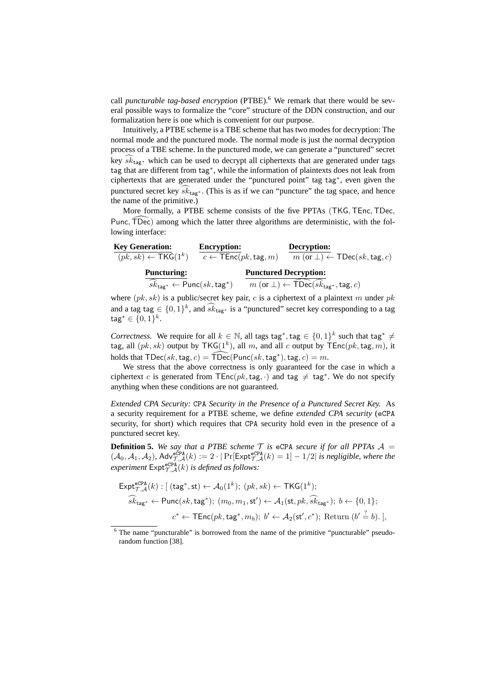call *puncturable tag-based encryption* (PTBE).<sup>6</sup> We remark that there would be several possible ways to formalize the "core" structure of the DDN construction, and our formalization here is one which is convenient for our purpose.

Intuitively, a PTBE scheme is a TBE scheme that has two modes for decryption: The normal mode and the punctured mode. The normal mode is just the normal decryption process of a TBE scheme. In the punctured mode, we can generate a "punctured" secret key *sk*<sub>tag</sub><sup>∗</sup> which can be used to decrypt all ciphertexts that are generated under tags tag that are different from tag*<sup>∗</sup>* , while the information of plaintexts does not leak from ciphertexts that are generated under the "punctured point" tag tag*<sup>∗</sup>* , even given the process of a 1BE scheme. In the punctured mode, we can generate a punctured secret<br>key  $\widehat{sk}_{\text{tag}*}$  which can be used to decrypt all ciphertexts that are generated under tags<br>tag that are different from tag<sup>\*</sup>, while th the name of the primitive.)

More formally, a PTBE scheme consists of the five PPTAs (TKG*,*TEnc*,*TDec*,* Punc,  $\widehat{\text{TDec}}$ ) among which the latter three algorithms are deterministic, with the following interface:

**Key Generation: Encryption: Decryption:**  $(k, sk) \leftarrow \textsf{TKG}(1^k)$  $\overline{c \leftarrow \text{TEnc}(pk, \text{tag}, m)}$   $\overline{m(\text{or }\bot) \leftarrow \text{TDec}(sk, \text{tag}, c)}$ **Puncturing: Punctured Decryption: Figure 12.4 FICC(***s c* ← TEnc(*pk*, tag, *m*) **Pecryption:**<br> **n** (or ⊥) ← TDec(*s*<br> **n** (or ⊥) ← TDec( $s\overline{k}_{\text{tag**}}$ , tag, *c*)<br> *m* (or ⊥) ← TDec( $s\overline{k}_{\text{tag**}}$ , tag, *c*) **Punctured Decryption:**<br>  $m(\sigma \perp) \leftarrow \widehat{\text{TDec}}(\widehat{sk}_{\text{tag}^*}, \text{tag}, c)$ <br>
lic/secret key pair, *c* is a ciphertext of a plaintext *m* under *pk*, and  $\widehat{sk}_{\text{tag}^*}$  is a "punctured" secret key corresponding to a tag

where (*pk, sk*) is a public/secret key pair, *c* is a ciphertext of a plaintext *m* under *pk* and a tag tag  $\in \{0,1\}^k$  $\mathsf{tag}* \in \{0,1\}^k.$ 

*Correctness.* We require for all  $k \in \mathbb{N}$ , all tags tag<sup>\*</sup>, tag  $\in \{0,1\}^k$  such that tag<sup>\*</sup>  $\neq$ tag, all  $(pk, sk)$  output by  $\mathsf{TKG}(1^k)$ , all  $m$ , and all  $c$  output by  $\mathsf{TEnc}(pk, \mathsf{tag}, m)$ , it  $\text{holds that } \mathsf{TDec}(sk,\mathsf{tag},c) = \widehat{\mathsf{TDec}}(\mathsf{Punc}(sk,\mathsf{tag}^*),\mathsf{tag},c) = m.$ 

We stress that the above correctness is only guaranteed for the case in which a ciphertext *c* is generated from  $\textsf{TEnc}(pk, \textsf{tag}, \cdot)$  and tag  $\neq \textsf{tag}^*$ . We do not specify anything when these conditions are not guaranteed.

*Extended CPA Security:* CPA *Security in the Presence of a Punctured Secret Key.* As a security requirement for a PTBE scheme, we define *extended CPA security* (eCPA security, for short) which requires that CPA security hold even in the presence of a punctured secret key.

**Definition 5.** We say that a PTBE scheme  $\mathcal T$  is eCPA secure if for all PPTAs  $\mathcal A$  =  $(\mathcal{A}_0,\mathcal{A}_1,\mathcal{A}_2)$ , Adv $_{\mathcal{T},\mathcal{A}}^{\text{eCPA}}(k):=2\cdot|\Pr[\mathsf{Expt}_{\mathcal{T},\mathcal{A}}^{\text{eCPA}}(k)=1]-1/2|$  is negligible, where the

experiment 
$$
\text{Expt}_{\mathcal{T},\mathcal{A}}^{\text{eCPA}}(k)
$$
 is defined as follows:

\n
$$
\text{Expt}_{\mathcal{T},\mathcal{A}}^{\text{eCPA}}(k) : \left[ (\text{tag}^*,\text{st}) \leftarrow \mathcal{A}_0(1^k); \ (pk, sk) \leftarrow \text{TKG}(1^k);
$$
\n
$$
\widehat{sk}_{\text{tag}^*} \leftarrow \text{Punc}(sk,\text{tag}^*); \ (m_0, m_1, \text{st}') \leftarrow \mathcal{A}_1(\text{st}, pk, \widehat{sk}_{\text{tag}^*}); \ b \leftarrow \{0, 1\};
$$
\n
$$
c^* \leftarrow \text{TEnc}(pk, \text{tag}^*, m_b); \ b' \leftarrow \mathcal{A}_2(\text{st}', c^*); \ \text{Return } (b' \stackrel{?}{=} b). \ ,
$$

The name "puncturable" is borrowed from the name of the primitive "puncturable" pseudorandom function [38].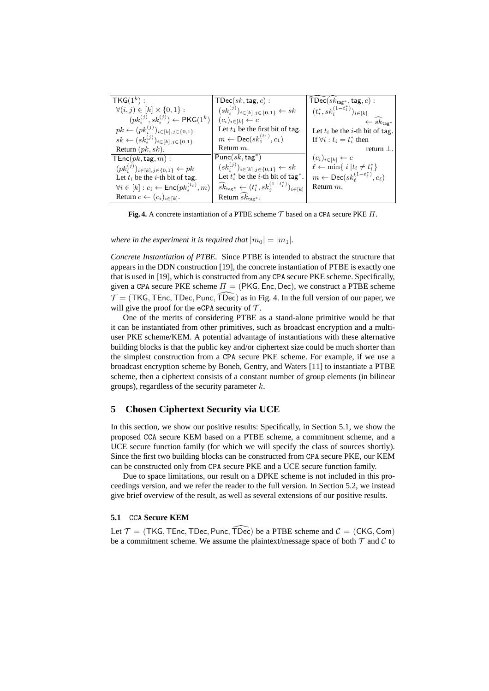| $TKG(1^k)$ :                                                      | $\mathsf{TDec}(sk,\mathsf{tag},c):$                                             | $\widehat{\mathsf{TDec}}(sk_{\mathsf{tag}^*},\mathsf{tag},c):$      |
|-------------------------------------------------------------------|---------------------------------------------------------------------------------|---------------------------------------------------------------------|
| $\forall (i, j) \in [k] \times \{0, 1\} :$                        | $(s k_i^{(j)})_{i \in [k], j \in \{0,1\}} \leftarrow sk$                        | $(t_i^*, s k_i^{(1-t_i^*)})_{i \in [k]}$                            |
| $(pk_i^{(j)}, sk_i^{(j)}) \leftarrow \text{PKG}(1^k)$             | $(c_i)_{i \in [k]} \leftarrow c$                                                | $\leftarrow$ sktar <sup>*</sup>                                     |
| $pk \leftarrow (pk_i^{(j)})_{i \in [k], j \in \{0,1\}}$           | Let $t_1$ be the first bit of tag.                                              | Let $t_i$ be the <i>i</i> -th bit of tag.                           |
| $sk \leftarrow (sk_i^{(j)})_{i \in [k], j \in \{0,1\}}$           | $m \leftarrow \textsf{Dec}(sk_1^{(t_1)}, c_1)$                                  | If $\forall i : t_i = t_i^*$ then                                   |
| Return $(pk, sk)$ .                                               | Return $m$ .                                                                    | return $\perp$ .                                                    |
| $\mathsf{TEnc}(pk, \mathsf{tag}, m)$ :                            | $Punc(sk, tag^*)$                                                               | $(c_i)_{i \in [k]} \leftarrow c$                                    |
| $(pk_i^{(j)})_{i \in [k], j \in \{0,1\}} \leftarrow pk$           | $(s k_i^{(j)})_{i \in [k], j \in \{0,1\}} \leftarrow sk$                        | $\ell \leftarrow \min\{ i   t_i \neq t_i^* \}$                      |
| Let $t_i$ be the <i>i</i> -th bit of tag.                         | Let $t_i^*$ be the <i>i</i> -th bit of tag <sup>*</sup> .                       | $m \leftarrow \textsf{Dec}(sk_{\ell}^{(1-t_{\ell}^{*})}, c_{\ell})$ |
| $\forall i \in [k]: c_i \leftarrow \mathsf{Enc}(pk_i^{(t_i)}, m)$ | $\widehat{sk}_{\texttt{tag}*} \leftarrow (t^*_i, sk_i^{(1-t^*_i)})_{i \in [k]}$ | Return $m$ .                                                        |
| Return $c \leftarrow (c_i)_{i \in [k]}$ .                         | Return $sk_{\text{ta}e^*}$ .                                                    |                                                                     |

**Fig. 4.** A concrete instantiation of a PTBE scheme *T* based on a CPA secure PKE *Π*.

*where in the experiment it is required that*  $|m_0| = |m_1|$ *.* 

*Concrete Instantiation of PTBE.* Since PTBE is intended to abstract the structure that appears in the DDN construction [19], the concrete instantiation of PTBE is exactly one that is used in [19], which is constructed from any CPA secure PKE scheme. Specifically, given a CPA secure PKE scheme  $\Pi = (PKG, Enc, Dec)$ , we construct a PTBE scheme  $\mathcal{T} =$  (TKG, TEnc, TDec, Punc, TDec) as in Fig. 4. In the full version of our paper, we will give the proof for the eCPA security of *T* .

One of the merits of considering PTBE as a stand-alone primitive would be that it can be instantiated from other primitives, such as broadcast encryption and a multiuser PKE scheme/KEM. A potential advantage of instantiations with these alternative building blocks is that the public key and/or ciphertext size could be much shorter than the simplest construction from a CPA secure PKE scheme. For example, if we use a broadcast encryption scheme by Boneh, Gentry, and Waters [11] to instantiate a PTBE scheme, then a ciphertext consists of a constant number of group elements (in bilinear groups), regardless of the security parameter *k*.

## **5 Chosen Ciphertext Security via UCE**

In this section, we show our positive results: Specifically, in Section 5.1, we show the proposed CCA secure KEM based on a PTBE scheme, a commitment scheme, and a UCE secure function family (for which we will specify the class of sources shortly). Since the first two building blocks can be constructed from CPA secure PKE, our KEM can be constructed only from CPA secure PKE and a UCE secure function family.

Due to space limitations, our result on a DPKE scheme is not included in this proceedings version, and we refer the reader to the full version. In Section 5.2, we instead give brief overview of the result, as well as several extensions of our positive results.

## **5.1** CCA **Secure KEM**

Let  $\mathcal{T} = (TKG, \mathsf{TEnc}, \mathsf{TDec}, \mathsf{Punc}, \mathsf{TDec})$  be a PTBE scheme and  $\mathcal{C} = (\mathsf{CKG}, \mathsf{Com})$ be a commitment scheme. We assume the plaintext/message space of both  $T$  and  $C$  to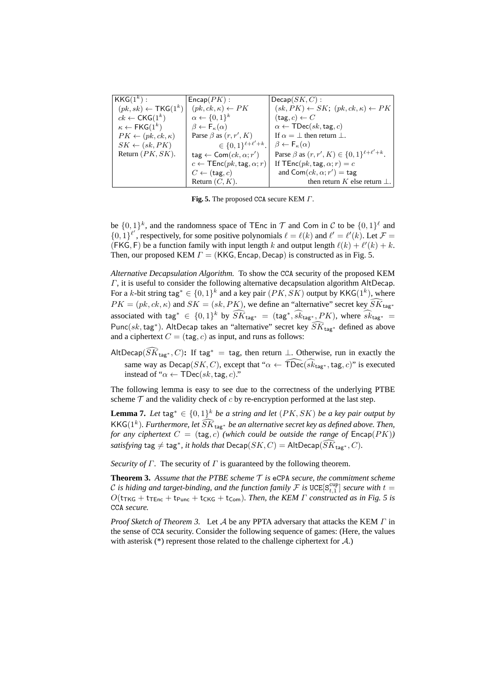| $KKG(1^k)$ :                     | $\mathsf{Encap}(PK)$ :                                    | $Decap(SK, C)$ :                                                       |
|----------------------------------|-----------------------------------------------------------|------------------------------------------------------------------------|
|                                  | $(pk, ck, \kappa) \leftarrow PK$                          | $(sk, PK) \leftarrow SK; (pk, ck, \kappa) \leftarrow PK$               |
|                                  |                                                           | $(\textsf{tag}, c) \leftarrow C$                                       |
| $\kappa \leftarrow$ FKG $(1^k)$  | $\beta \leftarrow F_{\kappa}(\alpha)$                     | $\alpha \leftarrow \textsf{TDec}(sk,\textsf{tag},c)$                   |
| $PK \leftarrow (pk, ck, \kappa)$ | Parse $\beta$ as $(r, r', K)$                             | If $\alpha = \perp$ then return $\perp$ .                              |
| $SK \leftarrow (sk, PK)$         | $\in \{0,1\}^{\ell+\ell'+k}$ .                            | $\beta \leftarrow F_{\kappa}(\alpha)$                                  |
| Return $(PK, SK)$ .              | $\mathsf{tag} \leftarrow \mathsf{Com}(ck,\alpha;r')$      | Parse $\beta$ as $(r, r', K) \in \{0, 1\}^{\ell + \ell' + k}$ .        |
|                                  | $c \leftarrow \mathsf{TEnc}(pk, \mathsf{tag}, \alpha; r)$ | If TEnc $(pk, \text{tag}, \alpha; r) = c$                              |
|                                  | $C \leftarrow (\texttt{tag}, c)$                          | and Com $(ck, \alpha; r') = \text{tag}$                                |
|                                  | Return $(C, K)$ .                                         | then return K else return $\perp$ .                                    |
|                                  | $ck \leftarrow \mathsf{CKG}(1^k)$                         | $(pk, sk) \leftarrow \text{TKG}(1^k)$<br>$\alpha \leftarrow \{0,1\}^k$ |

**Fig. 5.** The proposed CCA secure KEM *Γ*.

be  $\{0,1\}^k$ , and the randomness space of TEnc in  $\mathcal T$  and Com in  $\mathcal C$  to be  $\{0,1\}^{\ell}$  and  $\{0,1\}^{\ell'}$ , respectively, for some positive polynomials  $\ell = \ell(k)$  and  $\ell' = \ell'(k)$ . Let  $\mathcal{F} =$ (FKG, F) be a function family with input length *k* and output length  $\ell(k) + \ell'(k) + k$ . Then, our proposed KEM  $\Gamma = (KKG, Encap, Decap)$  is constructed as in Fig. 5.

*Alternative Decapsulation Algorithm.* To show the CCA security of the proposed KEM *Γ*, it is useful to consider the following alternative decapsulation algorithm AltDecap. For a *k*-bit string tag<sup>\*</sup>  $\in \{0,1\}^k$  and a key pair  $(PK, SK)$  output by KKG(1<sup>*k*</sup>), where *Alternative Decapsulation Algorithm.* To show the CCA security of the proposed KEM  $\Gamma$ , it is useful to consider the following alternative decapsulation algorithm AltDecap.<br>For a *k*-bit string tag<sup>∗</sup> ∈ {0, 1}<sup>k</sup> and a *F*, it is useful to consider the following alternative decapsulation algorithm AltDecap.<br> *For a k*-bit string tag<sup>\*</sup>  $\in$  {0,1}<sup>*k*</sup> and a key pair (*PK, SK*) output by KKG(1<sup>*k*</sup>), where  $PK = (pk, ck, \kappa)$  and  $SK = (sk, PK)$ , we *k* by *SK*<sub>tag<sup>∗</sup></sub> = (tag<sup>\*</sup>)<br>*k* and a key pair (*PK*, *k*<br>*sk*, *PK*), we define an <br>*k* by  $\widehat{SK}_{\text{tag}}^*$  = (tag<sup>\*</sup>) Punc(*sk,*tag*<sup>∗</sup>* of contract the contract the contract of contract the contract of contract the secret key  $\widehat{SK}_{\text{tag}^*}$ ,  $\kappa$ ) and  $SK = (sk, PK)$ , we define an "alternative" secret key  $\widehat{SK}_{\text{tag}^*}$  here  $\widehat{sk}_{\text{tag}^*} = (tag^*, \widehat{sk}_{\text{tag}$ and a ciphertext  $C = (tag, c)$  as input, and runs as follows: associated with  $\text{tag}^* \in \{0,1\}^k$  by  $\overline{SK}_{\text{tag}^*} = (\text{tag}^*, \overline{sk}_{\text{tag}^*}, PK)$ , where  $\overline{sk}_{\text{tag}^*} = \text{Punc}(sk, \text{tag}^*)$ . AltDecap takes an "alternative" secret key  $\overline{SK}_{\text{tag}^*}$  defined as above and a ciphertext  $C = (\text$ 

AltDecap( $\widehat{SK}_{\text{tag}^*}, C$ ): If tag<sup>\*</sup> = tag, then return  $\perp$ . Otherwise, run in exactly the same way as Decap( $SK, C$ ), except that " $\alpha \leftarrow \widehat{\text{TDec}(sk_{\text{tag}^*}, \text{tag}, c)}$ " is executed instead of " $\alpha \leftarrow \text{TDec}(sk, \text{tag}, c)$ ."

The following lemma is easy to see due to the correctness of the underlying PTBE scheme  $\mathcal T$  and the validity check of  $c$  by re-encryption performed at the last step.

**Lemma 7.** *Let* tag<sup>\*</sup> ∈ {0,1}<sup>*k*</sup> *be a string and let* (*PK, SK*) *be a key pair output by* The following lemma is easy to see due to the correctness of the underlying PTBE scheme  $\mathcal T$  and the validity check of  $c$  by re-encryption performed at the last step.<br>**Lemma 7.** Let  $\tan x \in \{0, 1\}^k$  be a string and le *for any ciphertext*  $C = (\text{tag}, c)$  *(which could be outside the range of*  $\text{Encap}(PK)$ *) satisfying* tag  $\neq$  tag<sup>\*</sup>, *it holds that* Decap( $SK, C$ ) = AltDecap( $\widehat{SK}_{\text{tar}}$ <sup>\*</sup>, C).  $\in \{0,1\}^k$  *be a string and let* (*PK, SK*) *be a key pair re, let*  $\widetilde{SK}_{\text{tag}*}$  *∗ be an alternative secret key as defined ab* = (tag, *c*) (which could be outside the range of Enc, *it holds that* Decap(*SK*,

*Security of Γ.* The security of *Γ* is guaranteed by the following theorem.

**Theorem 3.** *Assume that the PTBE scheme T is* eCPA *secure, the commitment scheme* C is hiding and target-binding, and the function family  $\mathcal F$  is  $\mathrm{UCE}[S_{t,1}^{\mathrm{cup}}]$  secure with  $t=$  $O(t_{TKG} + t_{TEnc} + t_{Punc} + t_{CKG} + t_{Com})$ *. Then, the KEM*  $\Gamma$  *constructed as in Fig. 5 is* CCA *secure.*

*Proof Sketch of Theorem 3.* Let *A* be any PPTA adversary that attacks the KEM *Γ* in the sense of CCA security. Consider the following sequence of games: (Here, the values with asterisk (\*) represent those related to the challenge ciphertext for *A*.)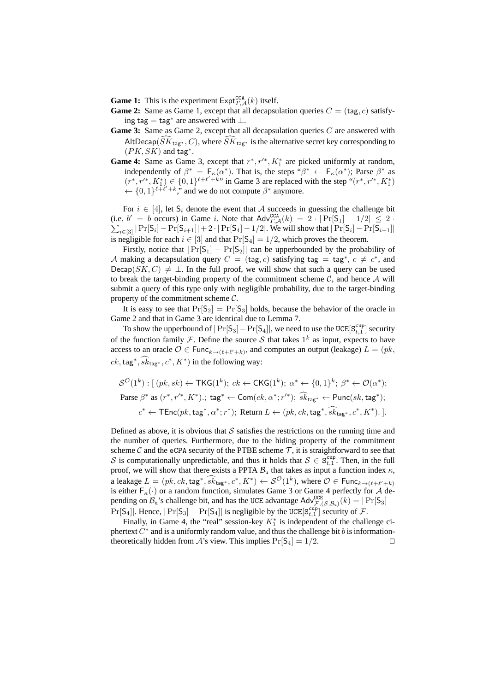**Game 1:** This is the experiment  $\text{Expt}_{T,\mathcal{A}}^{\text{CCA}}(k)$  itself.

- **Game 2:** Same as Game 1, except that all decapsulation queries  $C = (tag, c)$  satisfying tag = tag*<sup>∗</sup>* are answered with *⊥*.
- **Game 3:** Same as Game 2, except that all decapsulation queries *C* are answered with AltDecap( $\overline{S}\overline{K}_{\text{tag}*}$ , C), where  $\overline{S}\overline{K}_{\text{tag}*}$  is the alternative secret key corresponding to (*PK, SK*) and tag*<sup>∗</sup>* .
- **Game 4:** Same as Game 3, except that *r ∗ , r′∗, K<sup>∗</sup>* 1 are picked uniformly at random, independently of  $\beta^* = \mathsf{F}_{\kappa}(\alpha^*)$ . That is, the steps " $\beta^* \leftarrow \mathsf{F}_{\kappa}(\alpha^*)$ ; Parse  $\beta^*$  as  $(r^*, r'^*, K_1^*) \in \{0, 1\}^{\ell + \ell' + k}$  in Game 3 are replaced with the step " $(r^*, r'^*, K_1^*)$ "  $\leftarrow \{0,1\}^{\ell+\ell'+k}$ ," and we do not compute  $\beta^*$  anymore.

For  $i \in [4]$ , let  $S_i$  denote the event that *A* succeeds in guessing the challenge bit  $(i.e. b' = b \text{ occurs})$  in Game *i*. Note that  $\text{Adv}_{\Gamma,A}^{\text{CCA}}(k) = 2 \cdot |\Pr[S_1] - 1/2| \leq 2 \cdot$ *i***∈**[3]  $|Pr[S_i] - Pr[S_{i+1}]| + 2 \cdot |Pr[S_4] - 1/2|$ . We will show that  $|Pr[S_i] - Pr[S_{i+1}]|$ is negligible for each  $i \in [3]$  and that  $Pr[S_4] = 1/2$ , which proves the theorem.

Firstly, notice that  $|Pr[S_1] - Pr[S_2]|$  can be upperbounded by the probability of *A* making a decapsulation query  $C = (\text{tag}, c)$  satisfying tag = tag\*,  $c \neq c^*$ , and Decap( $SK, C$ )  $\neq \perp$ . In the full proof, we will show that such a query can be used to break the target-binding property of the commitment scheme  $C$ , and hence  $A$  will submit a query of this type only with negligible probability, due to the target-binding property of the commitment scheme *C*.

It is easy to see that  $Pr[S_2] = Pr[S_3]$  holds, because the behavior of the oracle in Game 2 and that in Game 3 are identical due to Lemma 7.

 $\text{To show the upperbound of } | \Pr[\mathsf{S}_3]-\Pr[\mathsf{S}_4]|, \text{ we need to use the UCE}[ \mathsf{S}_{t,1}^{\text{cup}} ] \text{ security}$ of the function family  $\mathcal{F}$ . Define the source  $\mathcal{S}$  that takes  $1^k$  as input, expects to have access to an oracle  $O \in \text{Func}_{k \to (\ell + \ell' + k)}$ , and computes an output (leakage)  $L = (pk,$  $ck$ , tag<sup>\*</sup>,  $sk_{\text{tag}}$ <sup>\*</sup>,  $c$ <sup>\*</sup>,  $K$ <sup>\*</sup>) in the following way:  $\frac{1}{2}$  **how the up**<br>**o** an oracle<br>*,*  $\widehat{sk}_{\text{tag}*}, c^*$ 

$$
\mathbf{c}_1 \mathbf{c}_2 \mathbf{c}_3 \mathbf{c}_4 \mathbf{c}_5 \mathbf{c}_5 \mathbf{c}_6 \mathbf{c}_7 \mathbf{c}_8 \mathbf{c}_7 \mathbf{c}_8 \mathbf{c}_8 \mathbf{c}_9 \mathbf{c}_9 \mathbf{c}_1 \mathbf{c}_1 \mathbf{c}_2 \mathbf{c}_3 \mathbf{c}_4 \mathbf{c}_5 \mathbf{c}_7 \mathbf{c}_8 \mathbf{c}_7 \mathbf{c}_8 \mathbf{c}_7 \mathbf{c}_8 \mathbf{c}_7 \mathbf{c}_7 \mathbf{c}_8 \mathbf{c}_7 \mathbf{c}_8 \mathbf{c}_7 \mathbf{c}_8 \mathbf{c}_8 \mathbf{c}_9 \mathbf{c}_9 \mathbf{c}_9 \mathbf{c}_9 \mathbf{c}_9 \mathbf{c}_9 \mathbf{c}_9 \mathbf{c}_9 \mathbf{c}_9 \mathbf{c}_9 \mathbf{c}_9 \mathbf{c}_9 \mathbf{c}_9 \mathbf{c}_9 \mathbf{c}_9 \mathbf{c}_9 \mathbf{c}_9 \mathbf{c}_9 \mathbf{c}_9 \mathbf{c}_9 \mathbf{c}_9 \mathbf{c}_9 \mathbf{c}_9 \mathbf{c}_9 \mathbf{c}_9 \mathbf{c}_9 \mathbf{c}_9 \mathbf{c}_9 \mathbf{c}_9 \mathbf{c}_9 \mathbf{c}_9 \mathbf{c}_9 \mathbf{c}_9 \mathbf{c}_9 \mathbf{c}_9 \mathbf{c}_9 \mathbf{c}_9 \mathbf{c}_9 \mathbf{c}_9 \mathbf{c}_9 \mathbf{c}_9 \mathbf{c}_9 \mathbf{c}_9 \mathbf{c}_9 \mathbf{c}_9 \mathbf{c}_9 \mathbf{c}_9 \mathbf{c}_9 \mathbf{c}_9 \mathbf{c}_9 \mathbf{c}_9 \mathbf{c}_9 \mathbf{c}_9 \mathbf{c}_9 \mathbf{c}_9 \mathbf{c}_9 \mathbf{c}_9 \mathbf{c}_9 \mathbf{c}_9 \mathbf{c}_9 \mathbf{c}_9 \mathbf{c}_9 \mathbf{c}_9 \mathbf{c}_9 \mathbf{c}_9 \mathbf{c}_9 \mathbf{c}_9 \mathbf{c}_9 \mathbf{c}_9 \mathbf{c}_9 \mathbf{c}_9 \mathbf{c}_9 \mathbf{c}_9 \mathbf{c}_9 \mathbf{
$$

Defined as above, it is obvious that  $S$  satisfies the restrictions on the running time and the number of queries. Furthermore, due to the hiding property of the commitment scheme  $\mathcal C$  and the eCPA security of the PTBE scheme  $\mathcal T$ , it is straightforward to see that S is computationally unpredictable, and thus it holds that  $S \in S_{t,1}^{\text{cup}}$ . Then, in the full proof, we will show that there exists a PPTA  $B_u$  that takes as input a function index  $\kappa$ , the number of queries. Furthermore, due to the hiding property of the commitment<br>scheme C and the eCPA security of the PTBE scheme T, it is straightforward to see that<br>S is computationally unpredictable, and thus it holds is either  $F_k(\cdot)$  or a random function, simulates Game 3 or Game 4 perfectly for *A* depending on  $\mathcal{B}_u$ 's challenge bit, and has the UCE advantage  $\text{Adv}_{\mathcal{F},(\mathcal{S},\mathcal{B}_u)}^{\text{UCE}}(k) = |\Pr[\mathsf{S}_3] - \mathsf{C}_u$  $Pr[S_4]|$ . Hence,  $|Pr[S_3] - Pr[S_4]|$  is negligible by the UCE $[S_{t,1}^{cup}]$  security of *F*.

Finally, in Game 4, the "real" session-key  $K_1^*$  is independent of the challenge ciphertext  $C^*$  and is a uniformly random value, and thus the challenge bit *b* is informationtheoretically hidden from *A*'s view. This implies  $Pr[S_4] = 1/2$ .  $□$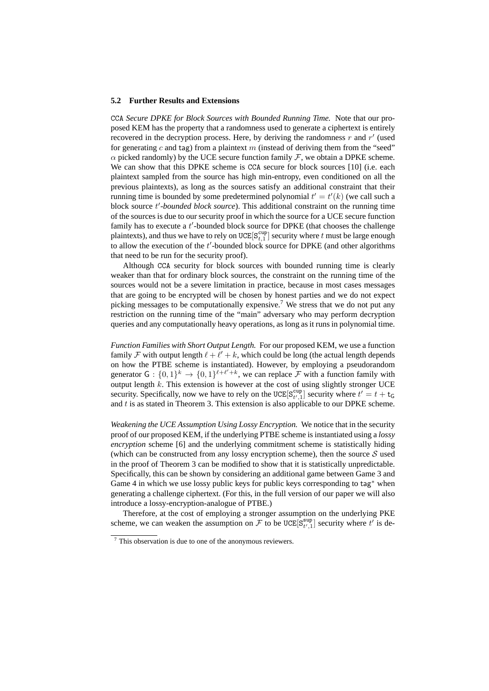#### **5.2 Further Results and Extensions**

CCA *Secure DPKE for Block Sources with Bounded Running Time.* Note that our proposed KEM has the property that a randomness used to generate a ciphertext is entirely recovered in the decryption process. Here, by deriving the randomness *r* and *r ′* (used for generating *c* and tag) from a plaintext *m* (instead of deriving them from the "seed" *α* picked randomly) by the UCE secure function family  $\mathcal{F}$ , we obtain a DPKE scheme. We can show that this DPKE scheme is CCA secure for block sources [10] (i.e. each plaintext sampled from the source has high min-entropy, even conditioned on all the previous plaintexts), as long as the sources satisfy an additional constraint that their running time is bounded by some predetermined polynomial  $t' = t'(k)$  (we call such a block source *t ′ -bounded block source*). This additional constraint on the running time of the sources is due to our security proof in which the source for a UCE secure function family has to execute a  $t'$ -bounded block source for DPKE (that chooses the challenge plaintexts), and thus we have to rely on UCE  $[S_{t,1}^{\text{cup}}]$  security where *t* must be large enough to allow the execution of the *t ′* -bounded block source for DPKE (and other algorithms that need to be run for the security proof).

Although CCA security for block sources with bounded running time is clearly weaker than that for ordinary block sources, the constraint on the running time of the sources would not be a severe limitation in practice, because in most cases messages that are going to be encrypted will be chosen by honest parties and we do not expect picking messages to be computationally expensive.<sup>7</sup> We stress that we do not put any restriction on the running time of the "main" adversary who may perform decryption queries and any computationally heavy operations, as long as it runs in polynomial time.

*Function Families with Short Output Length.* For our proposed KEM, we use a function family  $\mathcal F$  with output length  $\ell + \ell' + k$ , which could be long (the actual length depends on how the PTBE scheme is instantiated). However, by employing a pseudorandom generator  $G: \{0,1\}^k \to \{0,1\}^{\ell+\ell'+k}$ , we can replace  $\mathcal F$  with a function family with output length *k*. This extension is however at the cost of using slightly stronger UCE security. Specifically, now we have to rely on the UCE  $[S_{t',1}^{cup}]$  security where  $t' = t + t_G$ and *t* is as stated in Theorem 3. This extension is also applicable to our DPKE scheme.

*Weakening the UCE Assumption Using Lossy Encryption.* We notice that in the security proof of our proposed KEM, if the underlying PTBE scheme is instantiated using a *lossy encryption* scheme [6] and the underlying commitment scheme is statistically hiding (which can be constructed from any lossy encryption scheme), then the source *S* used in the proof of Theorem 3 can be modified to show that it is statistically unpredictable. Specifically, this can be shown by considering an additional game between Game 3 and Game 4 in which we use lossy public keys for public keys corresponding to tag*<sup>∗</sup>* when generating a challenge ciphertext. (For this, in the full version of our paper we will also introduce a lossy-encryption-analogue of PTBE.)

Therefore, at the cost of employing a stronger assumption on the underlying PKE scheme, we can weaken the assumption on  $\mathcal F$  to be UCE[ $S_{t',1}^{\text{sup}}$ ] security where  $t'$  is de-

<sup>7</sup> This observation is due to one of the anonymous reviewers.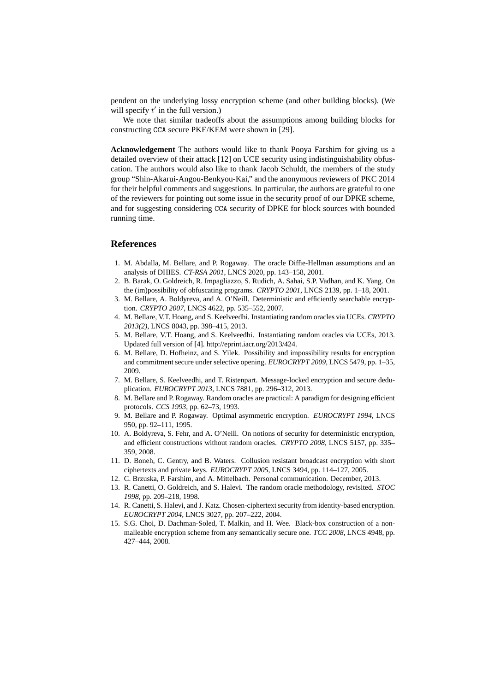pendent on the underlying lossy encryption scheme (and other building blocks). (We will specify  $t'$  in the full version.)

We note that similar tradeoffs about the assumptions among building blocks for constructing CCA secure PKE/KEM were shown in [29].

**Acknowledgement** The authors would like to thank Pooya Farshim for giving us a detailed overview of their attack [12] on UCE security using indistinguishability obfuscation. The authors would also like to thank Jacob Schuldt, the members of the study group "Shin-Akarui-Angou-Benkyou-Kai," and the anonymous reviewers of PKC 2014 for their helpful comments and suggestions. In particular, the authors are grateful to one of the reviewers for pointing out some issue in the security proof of our DPKE scheme, and for suggesting considering CCA security of DPKE for block sources with bounded running time.

## **References**

- 1. M. Abdalla, M. Bellare, and P. Rogaway. The oracle Diffie-Hellman assumptions and an analysis of DHIES. *CT-RSA 2001*, LNCS 2020, pp. 143–158, 2001.
- 2. B. Barak, O. Goldreich, R. Impagliazzo, S. Rudich, A. Sahai, S.P. Vadhan, and K. Yang. On the (im)possibility of obfuscating programs. *CRYPTO 2001*, LNCS 2139, pp. 1–18, 2001.
- 3. M. Bellare, A. Boldyreva, and A. O'Neill. Deterministic and efficiently searchable encryption. *CRYPTO 2007*, LNCS 4622, pp. 535–552, 2007.
- 4. M. Bellare, V.T. Hoang, and S. Keelveedhi. Instantiating random oracles via UCEs. *CRYPTO 2013(2)*, LNCS 8043, pp. 398–415, 2013.
- 5. M. Bellare, V.T. Hoang, and S. Keelveedhi. Instantiating random oracles via UCEs, 2013. Updated full version of [4]. http://eprint.iacr.org/2013/424.
- 6. M. Bellare, D. Hofheinz, and S. Yilek. Possibility and impossibility results for encryption and commitment secure under selective opening. *EUROCRYPT 2009*, LNCS 5479, pp. 1–35, 2009.
- 7. M. Bellare, S. Keelveedhi, and T. Ristenpart. Message-locked encryption and secure deduplication. *EUROCRYPT 2013*, LNCS 7881, pp. 296–312, 2013.
- 8. M. Bellare and P. Rogaway. Random oracles are practical: A paradigm for designing efficient protocols. *CCS 1993*, pp. 62–73, 1993.
- 9. M. Bellare and P. Rogaway. Optimal asymmetric encryption. *EUROCRYPT 1994*, LNCS 950, pp. 92–111, 1995.
- 10. A. Boldyreva, S. Fehr, and A. O'Neill. On notions of security for deterministic encryption, and efficient constructions without random oracles. *CRYPTO 2008*, LNCS 5157, pp. 335– 359, 2008.
- 11. D. Boneh, C. Gentry, and B. Waters. Collusion resistant broadcast encryption with short ciphertexts and private keys. *EUROCRYPT 2005*, LNCS 3494, pp. 114–127, 2005.
- 12. C. Brzuska, P. Farshim, and A. Mittelbach. Personal communication. December, 2013.
- 13. R. Canetti, O. Goldreich, and S. Halevi. The random oracle methodology, revisited. *STOC 1998*, pp. 209–218, 1998.
- 14. R. Canetti, S. Halevi, and J. Katz. Chosen-ciphertext security from identity-based encryption. *EUROCRYPT 2004*, LNCS 3027, pp. 207–222, 2004.
- 15. S.G. Choi, D. Dachman-Soled, T. Malkin, and H. Wee. Black-box construction of a nonmalleable encryption scheme from any semantically secure one. *TCC 2008*, LNCS 4948, pp. 427–444, 2008.